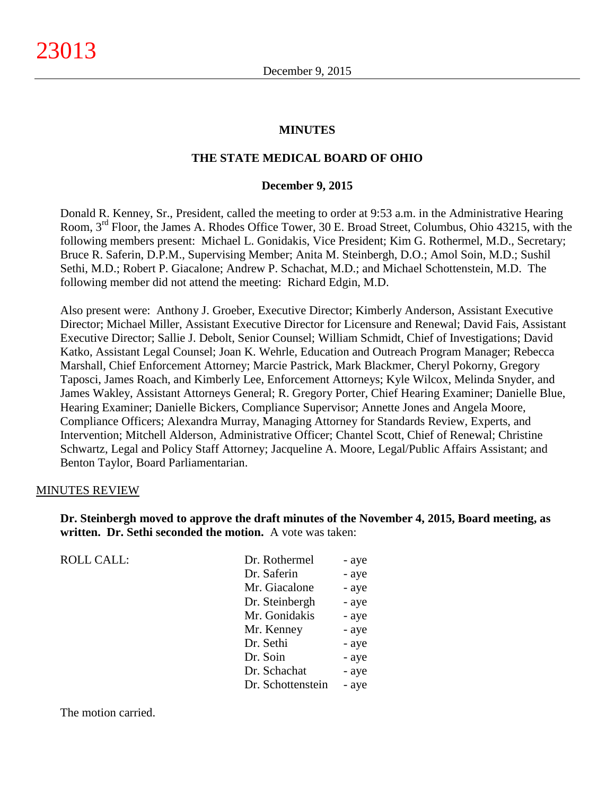#### **MINUTES**

#### **THE STATE MEDICAL BOARD OF OHIO**

#### **December 9, 2015**

Donald R. Kenney, Sr., President, called the meeting to order at 9:53 a.m. in the Administrative Hearing Room, 3rd Floor, the James A. Rhodes Office Tower, 30 E. Broad Street, Columbus, Ohio 43215, with the following members present: Michael L. Gonidakis, Vice President; Kim G. Rothermel, M.D., Secretary; Bruce R. Saferin, D.P.M., Supervising Member; Anita M. Steinbergh, D.O.; Amol Soin, M.D.; Sushil Sethi, M.D.; Robert P. Giacalone; Andrew P. Schachat, M.D.; and Michael Schottenstein, M.D. The following member did not attend the meeting: Richard Edgin, M.D.

Also present were: Anthony J. Groeber, Executive Director; Kimberly Anderson, Assistant Executive Director; Michael Miller, Assistant Executive Director for Licensure and Renewal; David Fais, Assistant Executive Director; Sallie J. Debolt, Senior Counsel; William Schmidt, Chief of Investigations; David Katko, Assistant Legal Counsel; Joan K. Wehrle, Education and Outreach Program Manager; Rebecca Marshall, Chief Enforcement Attorney; Marcie Pastrick, Mark Blackmer, Cheryl Pokorny, Gregory Taposci, James Roach, and Kimberly Lee, Enforcement Attorneys; Kyle Wilcox, Melinda Snyder, and James Wakley, Assistant Attorneys General; R. Gregory Porter, Chief Hearing Examiner; Danielle Blue, Hearing Examiner; Danielle Bickers, Compliance Supervisor; Annette Jones and Angela Moore, Compliance Officers; Alexandra Murray, Managing Attorney for Standards Review, Experts, and Intervention; Mitchell Alderson, Administrative Officer; Chantel Scott, Chief of Renewal; Christine Schwartz, Legal and Policy Staff Attorney; Jacqueline A. Moore, Legal/Public Affairs Assistant; and Benton Taylor, Board Parliamentarian.

#### MINUTES REVIEW

ROLL CALL:

**Dr. Steinbergh moved to approve the draft minutes of the November 4, 2015, Board meeting, as written. Dr. Sethi seconded the motion.** A vote was taken:

| Dr. Rothermel     | - aye |
|-------------------|-------|
| Dr. Saferin       | - aye |
| Mr. Giacalone     | - aye |
| Dr. Steinbergh    | - aye |
| Mr. Gonidakis     | - aye |
| Mr. Kenney        | - aye |
| Dr. Sethi         | - aye |
| Dr. Soin          | - aye |
| Dr. Schachat      | - aye |
| Dr. Schottenstein | - aye |
|                   |       |

The motion carried.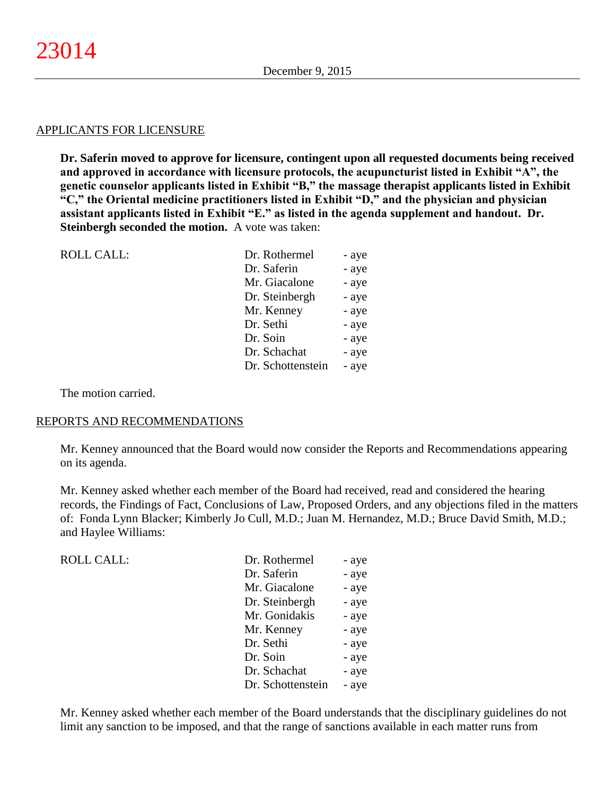#### APPLICANTS FOR LICENSURE

**Dr. Saferin moved to approve for licensure, contingent upon all requested documents being received and approved in accordance with licensure protocols, the acupuncturist listed in Exhibit "A", the genetic counselor applicants listed in Exhibit "B," the massage therapist applicants listed in Exhibit "C," the Oriental medicine practitioners listed in Exhibit "D," and the physician and physician assistant applicants listed in Exhibit "E." as listed in the agenda supplement and handout. Dr. Steinbergh seconded the motion.** A vote was taken:

| - aye                      |
|----------------------------|
| - aye                      |
| - aye                      |
| - aye                      |
| - aye                      |
| - aye                      |
| - aye                      |
| - aye                      |
| Dr. Schottenstein<br>- aye |
|                            |

The motion carried.

#### REPORTS AND RECOMMENDATIONS

Mr. Kenney announced that the Board would now consider the Reports and Recommendations appearing on its agenda.

Mr. Kenney asked whether each member of the Board had received, read and considered the hearing records, the Findings of Fact, Conclusions of Law, Proposed Orders, and any objections filed in the matters of: Fonda Lynn Blacker; Kimberly Jo Cull, M.D.; Juan M. Hernandez, M.D.; Bruce David Smith, M.D.; and Haylee Williams:

| ROLL CALL: | Dr. Rothermel     | - aye |
|------------|-------------------|-------|
|            | Dr. Saferin       | - aye |
|            | Mr. Giacalone     | - aye |
|            | Dr. Steinbergh    | - aye |
|            | Mr. Gonidakis     | - aye |
|            | Mr. Kenney        | - aye |
|            | Dr. Sethi         | - aye |
|            | Dr. Soin          | - aye |
|            | Dr. Schachat      | - aye |
|            | Dr. Schottenstein | - aye |

Mr. Kenney asked whether each member of the Board understands that the disciplinary guidelines do not limit any sanction to be imposed, and that the range of sanctions available in each matter runs from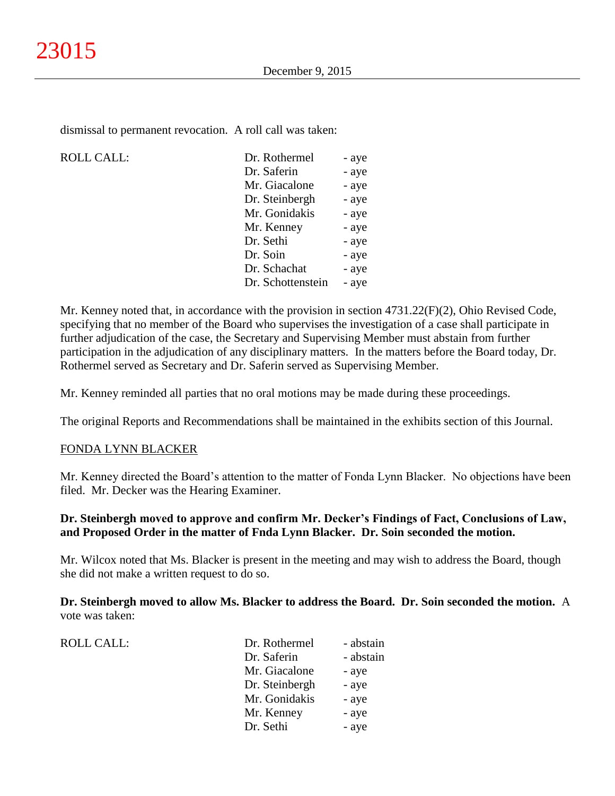dismissal to permanent revocation. A roll call was taken:

#### $ROLL CALL$ :

| Dr. Rothermel     | - aye |
|-------------------|-------|
| Dr. Saferin       | - aye |
| Mr. Giacalone     | - aye |
| Dr. Steinbergh    | - aye |
| Mr. Gonidakis     | - aye |
| Mr. Kenney        | - aye |
| Dr. Sethi         | - aye |
| Dr. Soin          | - aye |
| Dr. Schachat      | - aye |
| Dr. Schottenstein | - aye |
|                   |       |

Mr. Kenney noted that, in accordance with the provision in section 4731.22(F)(2), Ohio Revised Code, specifying that no member of the Board who supervises the investigation of a case shall participate in further adjudication of the case, the Secretary and Supervising Member must abstain from further participation in the adjudication of any disciplinary matters. In the matters before the Board today, Dr. Rothermel served as Secretary and Dr. Saferin served as Supervising Member.

Mr. Kenney reminded all parties that no oral motions may be made during these proceedings.

The original Reports and Recommendations shall be maintained in the exhibits section of this Journal.

#### FONDA LYNN BLACKER

ROLL CALL:

Mr. Kenney directed the Board's attention to the matter of Fonda Lynn Blacker. No objections have been filed. Mr. Decker was the Hearing Examiner.

# **Dr. Steinbergh moved to approve and confirm Mr. Decker's Findings of Fact, Conclusions of Law, and Proposed Order in the matter of Fnda Lynn Blacker. Dr. Soin seconded the motion.**

Mr. Wilcox noted that Ms. Blacker is present in the meeting and may wish to address the Board, though she did not make a written request to do so.

**Dr. Steinbergh moved to allow Ms. Blacker to address the Board. Dr. Soin seconded the motion.** A vote was taken:

| Dr. Rothermel  | - abstain |
|----------------|-----------|
| Dr. Saferin    | - abstain |
| Mr. Giacalone  | - aye     |
| Dr. Steinbergh | - aye     |
| Mr. Gonidakis  | - aye     |
| Mr. Kenney     | - aye     |
| Dr. Sethi      | - aye     |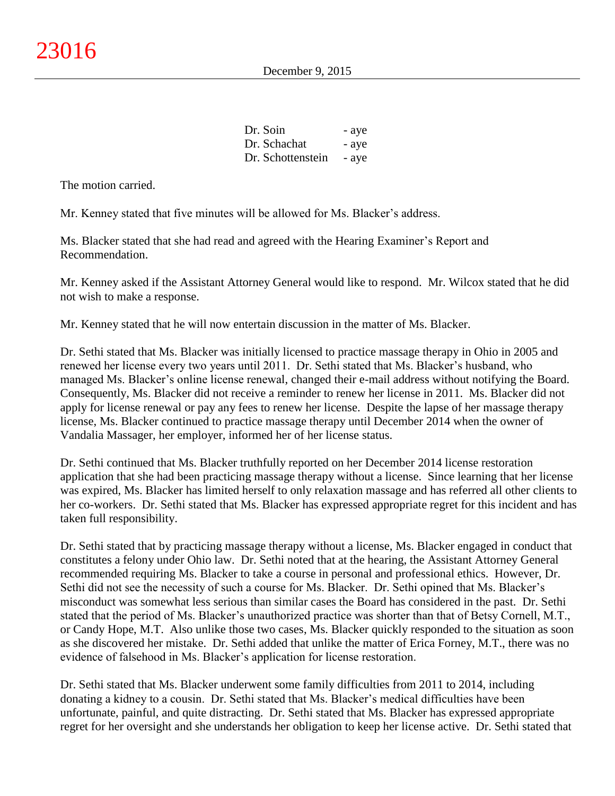| Dr. Soin          | - aye |
|-------------------|-------|
| Dr. Schachat      | - aye |
| Dr. Schottenstein | - aye |

The motion carried.

Mr. Kenney stated that five minutes will be allowed for Ms. Blacker's address.

Ms. Blacker stated that she had read and agreed with the Hearing Examiner's Report and Recommendation.

Mr. Kenney asked if the Assistant Attorney General would like to respond. Mr. Wilcox stated that he did not wish to make a response.

Mr. Kenney stated that he will now entertain discussion in the matter of Ms. Blacker.

Dr. Sethi stated that Ms. Blacker was initially licensed to practice massage therapy in Ohio in 2005 and renewed her license every two years until 2011. Dr. Sethi stated that Ms. Blacker's husband, who managed Ms. Blacker's online license renewal, changed their e-mail address without notifying the Board. Consequently, Ms. Blacker did not receive a reminder to renew her license in 2011. Ms. Blacker did not apply for license renewal or pay any fees to renew her license. Despite the lapse of her massage therapy license, Ms. Blacker continued to practice massage therapy until December 2014 when the owner of Vandalia Massager, her employer, informed her of her license status.

Dr. Sethi continued that Ms. Blacker truthfully reported on her December 2014 license restoration application that she had been practicing massage therapy without a license. Since learning that her license was expired, Ms. Blacker has limited herself to only relaxation massage and has referred all other clients to her co-workers. Dr. Sethi stated that Ms. Blacker has expressed appropriate regret for this incident and has taken full responsibility.

Dr. Sethi stated that by practicing massage therapy without a license, Ms. Blacker engaged in conduct that constitutes a felony under Ohio law. Dr. Sethi noted that at the hearing, the Assistant Attorney General recommended requiring Ms. Blacker to take a course in personal and professional ethics. However, Dr. Sethi did not see the necessity of such a course for Ms. Blacker. Dr. Sethi opined that Ms. Blacker's misconduct was somewhat less serious than similar cases the Board has considered in the past. Dr. Sethi stated that the period of Ms. Blacker's unauthorized practice was shorter than that of Betsy Cornell, M.T., or Candy Hope, M.T. Also unlike those two cases, Ms. Blacker quickly responded to the situation as soon as she discovered her mistake. Dr. Sethi added that unlike the matter of Erica Forney, M.T., there was no evidence of falsehood in Ms. Blacker's application for license restoration.

Dr. Sethi stated that Ms. Blacker underwent some family difficulties from 2011 to 2014, including donating a kidney to a cousin. Dr. Sethi stated that Ms. Blacker's medical difficulties have been unfortunate, painful, and quite distracting. Dr. Sethi stated that Ms. Blacker has expressed appropriate regret for her oversight and she understands her obligation to keep her license active. Dr. Sethi stated that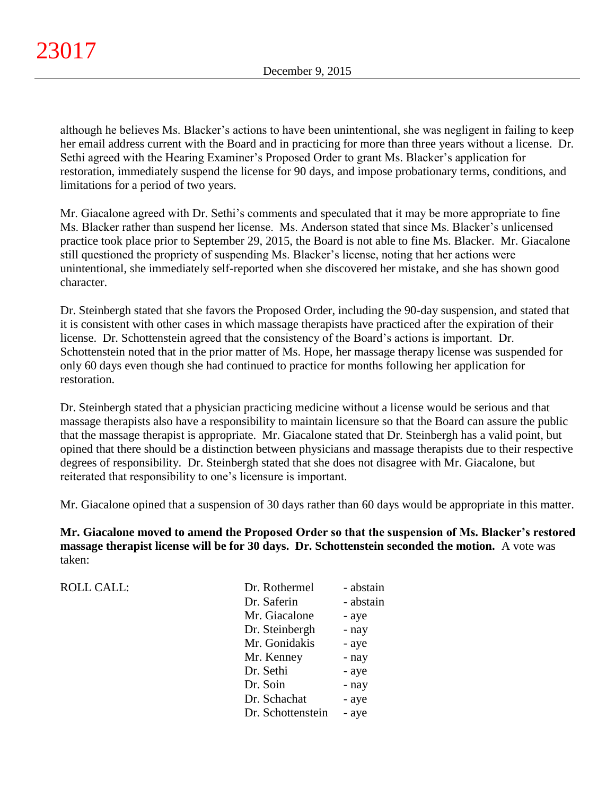although he believes Ms. Blacker's actions to have been unintentional, she was negligent in failing to keep her email address current with the Board and in practicing for more than three years without a license. Dr. Sethi agreed with the Hearing Examiner's Proposed Order to grant Ms. Blacker's application for restoration, immediately suspend the license for 90 days, and impose probationary terms, conditions, and limitations for a period of two years.

Mr. Giacalone agreed with Dr. Sethi's comments and speculated that it may be more appropriate to fine Ms. Blacker rather than suspend her license. Ms. Anderson stated that since Ms. Blacker's unlicensed practice took place prior to September 29, 2015, the Board is not able to fine Ms. Blacker. Mr. Giacalone still questioned the propriety of suspending Ms. Blacker's license, noting that her actions were unintentional, she immediately self-reported when she discovered her mistake, and she has shown good character.

Dr. Steinbergh stated that she favors the Proposed Order, including the 90-day suspension, and stated that it is consistent with other cases in which massage therapists have practiced after the expiration of their license. Dr. Schottenstein agreed that the consistency of the Board's actions is important. Dr. Schottenstein noted that in the prior matter of Ms. Hope, her massage therapy license was suspended for only 60 days even though she had continued to practice for months following her application for restoration.

Dr. Steinbergh stated that a physician practicing medicine without a license would be serious and that massage therapists also have a responsibility to maintain licensure so that the Board can assure the public that the massage therapist is appropriate. Mr. Giacalone stated that Dr. Steinbergh has a valid point, but opined that there should be a distinction between physicians and massage therapists due to their respective degrees of responsibility. Dr. Steinbergh stated that she does not disagree with Mr. Giacalone, but reiterated that responsibility to one's licensure is important.

Mr. Giacalone opined that a suspension of 30 days rather than 60 days would be appropriate in this matter.

**Mr. Giacalone moved to amend the Proposed Order so that the suspension of Ms. Blacker's restored massage therapist license will be for 30 days. Dr. Schottenstein seconded the motion.** A vote was taken:

| <b>ROLL CALL:</b> | Dr. Rothermel     | - abstain |
|-------------------|-------------------|-----------|
|                   | Dr. Saferin       | - abstain |
|                   | Mr. Giacalone     | - aye     |
|                   | Dr. Steinbergh    | - nay     |
|                   | Mr. Gonidakis     | - aye     |
|                   | Mr. Kenney        | - nay     |
|                   | Dr. Sethi         | - aye     |
|                   | Dr. Soin          | - nay     |
|                   | Dr. Schachat      | - aye     |
|                   | Dr. Schottenstein | - aye     |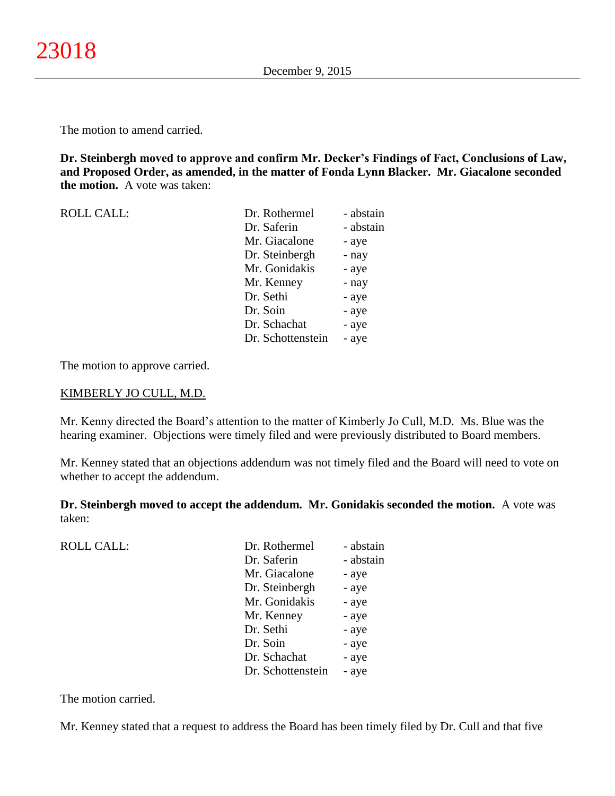The motion to amend carried.

**Dr. Steinbergh moved to approve and confirm Mr. Decker's Findings of Fact, Conclusions of Law, and Proposed Order, as amended, in the matter of Fonda Lynn Blacker. Mr. Giacalone seconded the motion.** A vote was taken:

| <b>ROLL CALL:</b> | Dr. Rothermel     | - abstain |
|-------------------|-------------------|-----------|
|                   | Dr. Saferin       | - abstain |
|                   | Mr. Giacalone     | - aye     |
|                   | Dr. Steinbergh    | - nay     |
|                   | Mr. Gonidakis     | - aye     |
|                   | Mr. Kenney        | - nay     |
|                   | Dr. Sethi         | - aye     |
|                   | Dr. Soin          | - aye     |
|                   | Dr. Schachat      | - aye     |
|                   | Dr. Schottenstein | - aye     |

The motion to approve carried.

#### KIMBERLY JO CULL, M.D.

Mr. Kenny directed the Board's attention to the matter of Kimberly Jo Cull, M.D. Ms. Blue was the hearing examiner. Objections were timely filed and were previously distributed to Board members.

Mr. Kenney stated that an objections addendum was not timely filed and the Board will need to vote on whether to accept the addendum.

**Dr. Steinbergh moved to accept the addendum. Mr. Gonidakis seconded the motion.** A vote was taken:

| <b>ROLL CALL:</b> | Dr. Rothermel     | - abstain |
|-------------------|-------------------|-----------|
|                   | Dr. Saferin       | - abstain |
|                   | Mr. Giacalone     | - aye     |
|                   | Dr. Steinbergh    | - aye     |
|                   | Mr. Gonidakis     | - aye     |
|                   | Mr. Kenney        | - aye     |
|                   | Dr. Sethi         | - aye     |
|                   | Dr. Soin          | - aye     |
|                   | Dr. Schachat      | - aye     |
|                   | Dr. Schottenstein | - aye     |
|                   |                   |           |

The motion carried.

Mr. Kenney stated that a request to address the Board has been timely filed by Dr. Cull and that five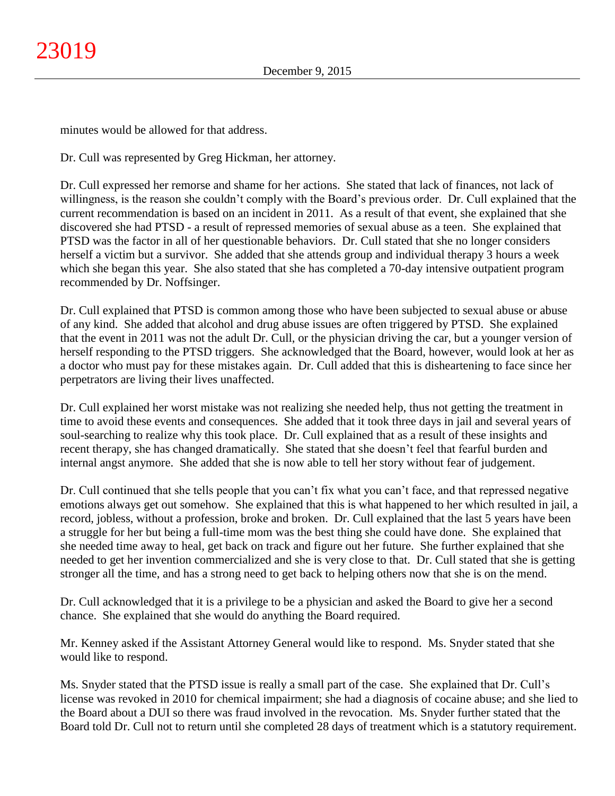minutes would be allowed for that address.

Dr. Cull was represented by Greg Hickman, her attorney.

Dr. Cull expressed her remorse and shame for her actions. She stated that lack of finances, not lack of willingness, is the reason she couldn't comply with the Board's previous order. Dr. Cull explained that the current recommendation is based on an incident in 2011. As a result of that event, she explained that she discovered she had PTSD - a result of repressed memories of sexual abuse as a teen. She explained that PTSD was the factor in all of her questionable behaviors. Dr. Cull stated that she no longer considers herself a victim but a survivor. She added that she attends group and individual therapy 3 hours a week which she began this year. She also stated that she has completed a 70-day intensive outpatient program recommended by Dr. Noffsinger.

Dr. Cull explained that PTSD is common among those who have been subjected to sexual abuse or abuse of any kind. She added that alcohol and drug abuse issues are often triggered by PTSD. She explained that the event in 2011 was not the adult Dr. Cull, or the physician driving the car, but a younger version of herself responding to the PTSD triggers. She acknowledged that the Board, however, would look at her as a doctor who must pay for these mistakes again. Dr. Cull added that this is disheartening to face since her perpetrators are living their lives unaffected.

Dr. Cull explained her worst mistake was not realizing she needed help, thus not getting the treatment in time to avoid these events and consequences. She added that it took three days in jail and several years of soul-searching to realize why this took place. Dr. Cull explained that as a result of these insights and recent therapy, she has changed dramatically. She stated that she doesn't feel that fearful burden and internal angst anymore. She added that she is now able to tell her story without fear of judgement.

Dr. Cull continued that she tells people that you can't fix what you can't face, and that repressed negative emotions always get out somehow. She explained that this is what happened to her which resulted in jail, a record, jobless, without a profession, broke and broken. Dr. Cull explained that the last 5 years have been a struggle for her but being a full-time mom was the best thing she could have done. She explained that she needed time away to heal, get back on track and figure out her future. She further explained that she needed to get her invention commercialized and she is very close to that. Dr. Cull stated that she is getting stronger all the time, and has a strong need to get back to helping others now that she is on the mend.

Dr. Cull acknowledged that it is a privilege to be a physician and asked the Board to give her a second chance. She explained that she would do anything the Board required.

Mr. Kenney asked if the Assistant Attorney General would like to respond. Ms. Snyder stated that she would like to respond.

Ms. Snyder stated that the PTSD issue is really a small part of the case. She explained that Dr. Cull's license was revoked in 2010 for chemical impairment; she had a diagnosis of cocaine abuse; and she lied to the Board about a DUI so there was fraud involved in the revocation. Ms. Snyder further stated that the Board told Dr. Cull not to return until she completed 28 days of treatment which is a statutory requirement.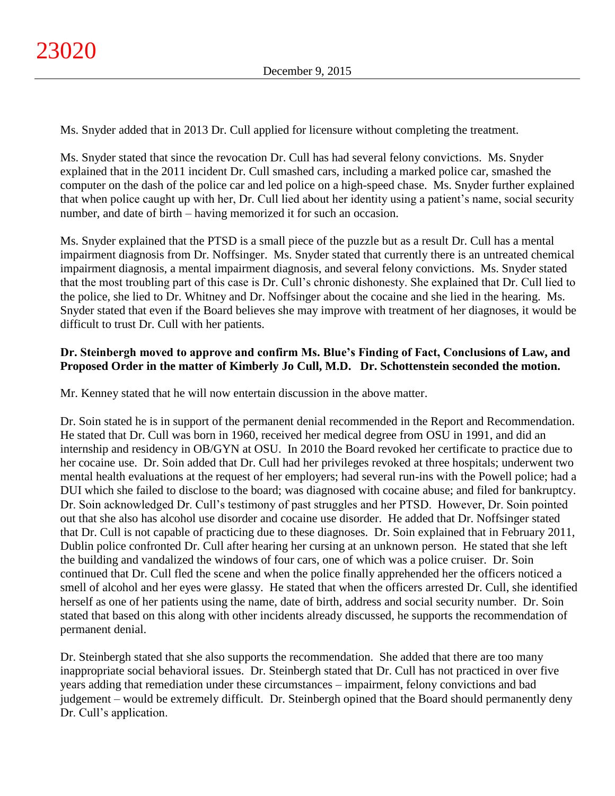Ms. Snyder added that in 2013 Dr. Cull applied for licensure without completing the treatment.

Ms. Snyder stated that since the revocation Dr. Cull has had several felony convictions. Ms. Snyder explained that in the 2011 incident Dr. Cull smashed cars, including a marked police car, smashed the computer on the dash of the police car and led police on a high-speed chase. Ms. Snyder further explained that when police caught up with her, Dr. Cull lied about her identity using a patient's name, social security number, and date of birth – having memorized it for such an occasion.

Ms. Snyder explained that the PTSD is a small piece of the puzzle but as a result Dr. Cull has a mental impairment diagnosis from Dr. Noffsinger. Ms. Snyder stated that currently there is an untreated chemical impairment diagnosis, a mental impairment diagnosis, and several felony convictions. Ms. Snyder stated that the most troubling part of this case is Dr. Cull's chronic dishonesty. She explained that Dr. Cull lied to the police, she lied to Dr. Whitney and Dr. Noffsinger about the cocaine and she lied in the hearing. Ms. Snyder stated that even if the Board believes she may improve with treatment of her diagnoses, it would be difficult to trust Dr. Cull with her patients.

# **Dr. Steinbergh moved to approve and confirm Ms. Blue's Finding of Fact, Conclusions of Law, and Proposed Order in the matter of Kimberly Jo Cull, M.D. Dr. Schottenstein seconded the motion.**

Mr. Kenney stated that he will now entertain discussion in the above matter.

Dr. Soin stated he is in support of the permanent denial recommended in the Report and Recommendation. He stated that Dr. Cull was born in 1960, received her medical degree from OSU in 1991, and did an internship and residency in OB/GYN at OSU. In 2010 the Board revoked her certificate to practice due to her cocaine use. Dr. Soin added that Dr. Cull had her privileges revoked at three hospitals; underwent two mental health evaluations at the request of her employers; had several run-ins with the Powell police; had a DUI which she failed to disclose to the board; was diagnosed with cocaine abuse; and filed for bankruptcy. Dr. Soin acknowledged Dr. Cull's testimony of past struggles and her PTSD. However, Dr. Soin pointed out that she also has alcohol use disorder and cocaine use disorder. He added that Dr. Noffsinger stated that Dr. Cull is not capable of practicing due to these diagnoses. Dr. Soin explained that in February 2011, Dublin police confronted Dr. Cull after hearing her cursing at an unknown person. He stated that she left the building and vandalized the windows of four cars, one of which was a police cruiser. Dr. Soin continued that Dr. Cull fled the scene and when the police finally apprehended her the officers noticed a smell of alcohol and her eyes were glassy. He stated that when the officers arrested Dr. Cull, she identified herself as one of her patients using the name, date of birth, address and social security number. Dr. Soin stated that based on this along with other incidents already discussed, he supports the recommendation of permanent denial.

Dr. Steinbergh stated that she also supports the recommendation. She added that there are too many inappropriate social behavioral issues. Dr. Steinbergh stated that Dr. Cull has not practiced in over five years adding that remediation under these circumstances – impairment, felony convictions and bad judgement – would be extremely difficult. Dr. Steinbergh opined that the Board should permanently deny Dr. Cull's application.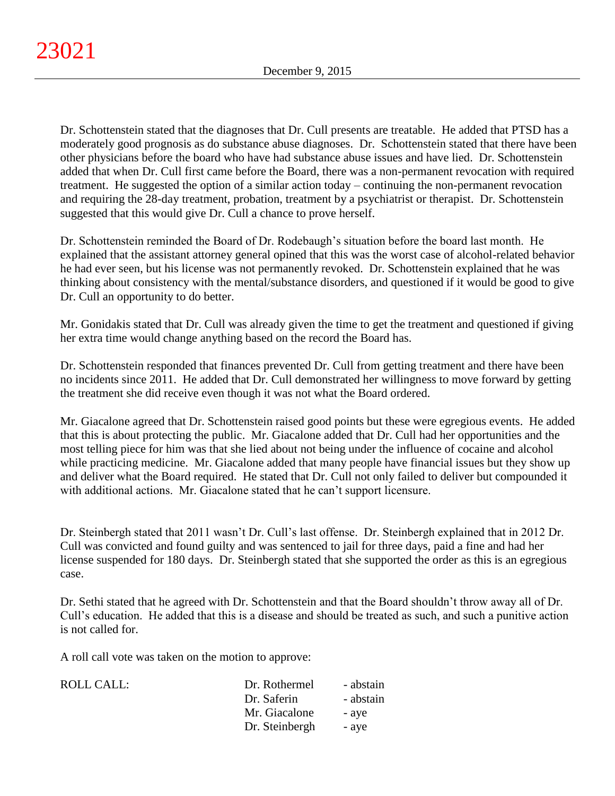Dr. Schottenstein stated that the diagnoses that Dr. Cull presents are treatable. He added that PTSD has a moderately good prognosis as do substance abuse diagnoses. Dr. Schottenstein stated that there have been other physicians before the board who have had substance abuse issues and have lied. Dr. Schottenstein added that when Dr. Cull first came before the Board, there was a non-permanent revocation with required treatment. He suggested the option of a similar action today – continuing the non-permanent revocation and requiring the 28-day treatment, probation, treatment by a psychiatrist or therapist. Dr. Schottenstein suggested that this would give Dr. Cull a chance to prove herself.

Dr. Schottenstein reminded the Board of Dr. Rodebaugh's situation before the board last month. He explained that the assistant attorney general opined that this was the worst case of alcohol-related behavior he had ever seen, but his license was not permanently revoked. Dr. Schottenstein explained that he was thinking about consistency with the mental/substance disorders, and questioned if it would be good to give Dr. Cull an opportunity to do better.

Mr. Gonidakis stated that Dr. Cull was already given the time to get the treatment and questioned if giving her extra time would change anything based on the record the Board has.

Dr. Schottenstein responded that finances prevented Dr. Cull from getting treatment and there have been no incidents since 2011. He added that Dr. Cull demonstrated her willingness to move forward by getting the treatment she did receive even though it was not what the Board ordered.

Mr. Giacalone agreed that Dr. Schottenstein raised good points but these were egregious events. He added that this is about protecting the public. Mr. Giacalone added that Dr. Cull had her opportunities and the most telling piece for him was that she lied about not being under the influence of cocaine and alcohol while practicing medicine. Mr. Giacalone added that many people have financial issues but they show up and deliver what the Board required. He stated that Dr. Cull not only failed to deliver but compounded it with additional actions. Mr. Giacalone stated that he can't support licensure.

Dr. Steinbergh stated that 2011 wasn't Dr. Cull's last offense. Dr. Steinbergh explained that in 2012 Dr. Cull was convicted and found guilty and was sentenced to jail for three days, paid a fine and had her license suspended for 180 days. Dr. Steinbergh stated that she supported the order as this is an egregious case.

Dr. Sethi stated that he agreed with Dr. Schottenstein and that the Board shouldn't throw away all of Dr. Cull's education. He added that this is a disease and should be treated as such, and such a punitive action is not called for.

A roll call vote was taken on the motion to approve:

| Dr. Rothermel  | - abstain |
|----------------|-----------|
| Dr. Saferin    | - abstain |
| Mr. Giacalone  | - ave     |
| Dr. Steinbergh | - ave     |
|                |           |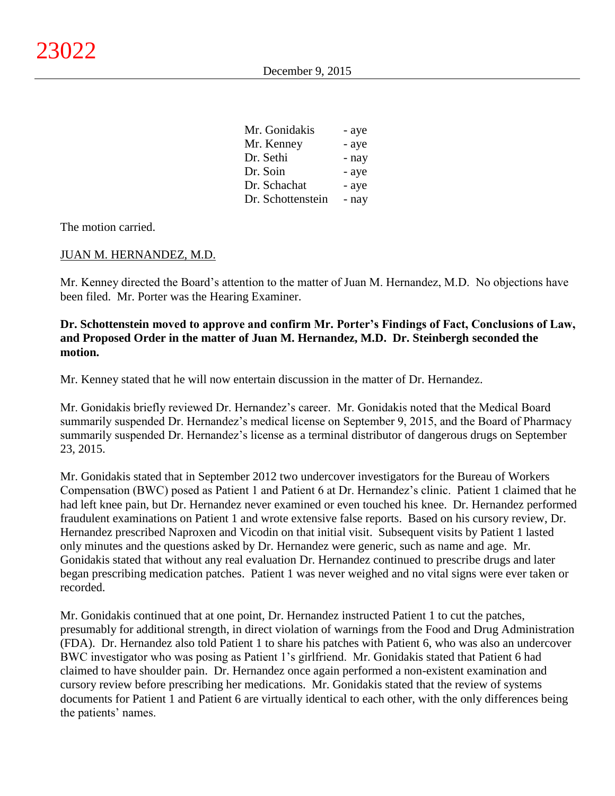| Mr. Gonidakis     | - aye |
|-------------------|-------|
| Mr. Kenney        | - aye |
| Dr. Sethi         | - nay |
| Dr. Soin          | - aye |
| Dr. Schachat      | - aye |
| Dr. Schottenstein | - nay |

The motion carried.

# JUAN M. HERNANDEZ, M.D.

Mr. Kenney directed the Board's attention to the matter of Juan M. Hernandez, M.D. No objections have been filed. Mr. Porter was the Hearing Examiner.

# **Dr. Schottenstein moved to approve and confirm Mr. Porter's Findings of Fact, Conclusions of Law, and Proposed Order in the matter of Juan M. Hernandez, M.D. Dr. Steinbergh seconded the motion.**

Mr. Kenney stated that he will now entertain discussion in the matter of Dr. Hernandez.

Mr. Gonidakis briefly reviewed Dr. Hernandez's career. Mr. Gonidakis noted that the Medical Board summarily suspended Dr. Hernandez's medical license on September 9, 2015, and the Board of Pharmacy summarily suspended Dr. Hernandez's license as a terminal distributor of dangerous drugs on September 23, 2015.

Mr. Gonidakis stated that in September 2012 two undercover investigators for the Bureau of Workers Compensation (BWC) posed as Patient 1 and Patient 6 at Dr. Hernandez's clinic. Patient 1 claimed that he had left knee pain, but Dr. Hernandez never examined or even touched his knee. Dr. Hernandez performed fraudulent examinations on Patient 1 and wrote extensive false reports. Based on his cursory review, Dr. Hernandez prescribed Naproxen and Vicodin on that initial visit. Subsequent visits by Patient 1 lasted only minutes and the questions asked by Dr. Hernandez were generic, such as name and age. Mr. Gonidakis stated that without any real evaluation Dr. Hernandez continued to prescribe drugs and later began prescribing medication patches. Patient 1 was never weighed and no vital signs were ever taken or recorded.

Mr. Gonidakis continued that at one point, Dr. Hernandez instructed Patient 1 to cut the patches, presumably for additional strength, in direct violation of warnings from the Food and Drug Administration (FDA). Dr. Hernandez also told Patient 1 to share his patches with Patient 6, who was also an undercover BWC investigator who was posing as Patient 1's girlfriend. Mr. Gonidakis stated that Patient 6 had claimed to have shoulder pain. Dr. Hernandez once again performed a non-existent examination and cursory review before prescribing her medications. Mr. Gonidakis stated that the review of systems documents for Patient 1 and Patient 6 are virtually identical to each other, with the only differences being the patients' names.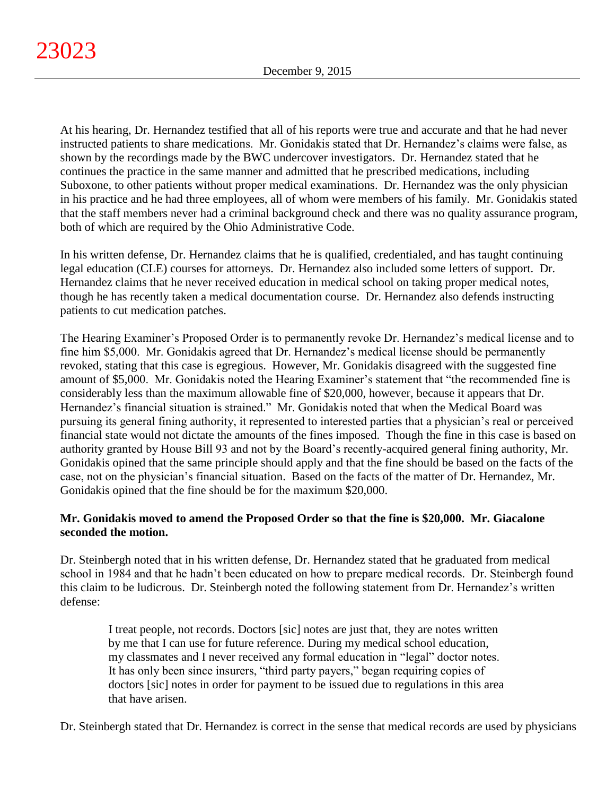At his hearing, Dr. Hernandez testified that all of his reports were true and accurate and that he had never instructed patients to share medications. Mr. Gonidakis stated that Dr. Hernandez's claims were false, as shown by the recordings made by the BWC undercover investigators. Dr. Hernandez stated that he continues the practice in the same manner and admitted that he prescribed medications, including Suboxone, to other patients without proper medical examinations. Dr. Hernandez was the only physician in his practice and he had three employees, all of whom were members of his family. Mr. Gonidakis stated that the staff members never had a criminal background check and there was no quality assurance program, both of which are required by the Ohio Administrative Code.

In his written defense, Dr. Hernandez claims that he is qualified, credentialed, and has taught continuing legal education (CLE) courses for attorneys. Dr. Hernandez also included some letters of support. Dr. Hernandez claims that he never received education in medical school on taking proper medical notes, though he has recently taken a medical documentation course. Dr. Hernandez also defends instructing patients to cut medication patches.

The Hearing Examiner's Proposed Order is to permanently revoke Dr. Hernandez's medical license and to fine him \$5,000. Mr. Gonidakis agreed that Dr. Hernandez's medical license should be permanently revoked, stating that this case is egregious. However, Mr. Gonidakis disagreed with the suggested fine amount of \$5,000. Mr. Gonidakis noted the Hearing Examiner's statement that "the recommended fine is considerably less than the maximum allowable fine of \$20,000, however, because it appears that Dr. Hernandez's financial situation is strained." Mr. Gonidakis noted that when the Medical Board was pursuing its general fining authority, it represented to interested parties that a physician's real or perceived financial state would not dictate the amounts of the fines imposed. Though the fine in this case is based on authority granted by House Bill 93 and not by the Board's recently-acquired general fining authority, Mr. Gonidakis opined that the same principle should apply and that the fine should be based on the facts of the case, not on the physician's financial situation. Based on the facts of the matter of Dr. Hernandez, Mr. Gonidakis opined that the fine should be for the maximum \$20,000.

# **Mr. Gonidakis moved to amend the Proposed Order so that the fine is \$20,000. Mr. Giacalone seconded the motion.**

Dr. Steinbergh noted that in his written defense, Dr. Hernandez stated that he graduated from medical school in 1984 and that he hadn't been educated on how to prepare medical records. Dr. Steinbergh found this claim to be ludicrous. Dr. Steinbergh noted the following statement from Dr. Hernandez's written defense:

I treat people, not records. Doctors [sic] notes are just that, they are notes written by me that I can use for future reference. During my medical school education, my classmates and I never received any formal education in "legal" doctor notes. It has only been since insurers, "third party payers," began requiring copies of doctors [sic] notes in order for payment to be issued due to regulations in this area that have arisen.

Dr. Steinbergh stated that Dr. Hernandez is correct in the sense that medical records are used by physicians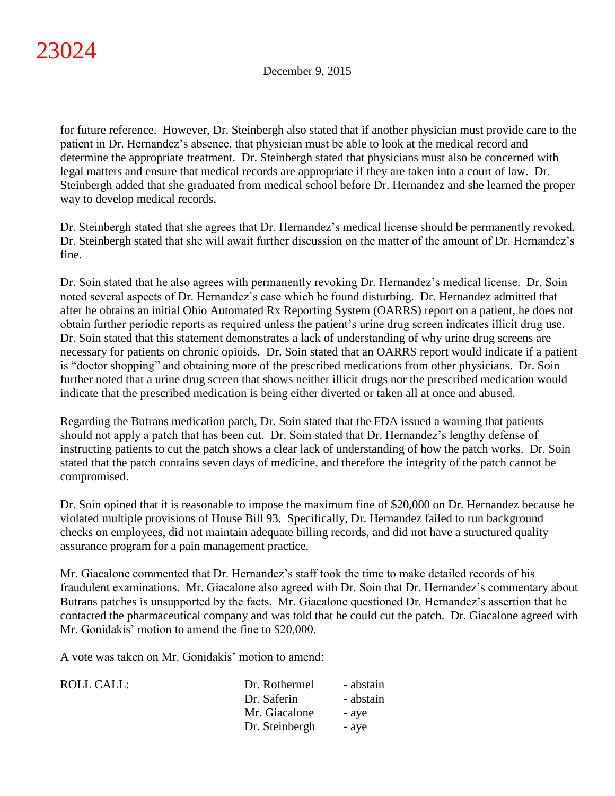for future reference. However, Dr. Steinbergh also stated that if another physician must provide care to the patient in Dr. Hernandez's absence, that physician must be able to look at the medical record and determine the appropriate treatment. Dr. Steinbergh stated that physicians must also be concerned with legal matters and ensure that medical records are appropriate if they are taken into a court of law. Dr. Steinbergh added that she graduated from medical school before Dr. Hernandez and she learned the proper way to develop medical records.

Dr. Steinbergh stated that she agrees that Dr. Hernandez's medical license should be permanently revoked. Dr. Steinbergh stated that she will await further discussion on the matter of the amount of Dr. Hernandez's fine.

Dr. Soin stated that he also agrees with permanently revoking Dr. Hernandez's medical license. Dr. Soin noted several aspects of Dr. Hernandez's case which he found disturbing. Dr. Hernandez admitted that after he obtains an initial Ohio Automated Rx Reporting System (OARRS) report on a patient, he does not obtain further periodic reports as required unless the patient's urine drug screen indicates illicit drug use. Dr. Soin stated that this statement demonstrates a lack of understanding of why urine drug screens are necessary for patients on chronic opioids. Dr. Soin stated that an OARRS report would indicate if a patient is "doctor shopping" and obtaining more of the prescribed medications from other physicians. Dr. Soin further noted that a urine drug screen that shows neither illicit drugs nor the prescribed medication would indicate that the prescribed medication is being either diverted or taken all at once and abused.

Regarding the Butrans medication patch, Dr. Soin stated that the FDA issued a warning that patients should not apply a patch that has been cut. Dr. Soin stated that Dr. Hernandez's lengthy defense of instructing patients to cut the patch shows a clear lack of understanding of how the patch works. Dr. Soin stated that the patch contains seven days of medicine, and therefore the integrity of the patch cannot be compromised.

Dr. Soin opined that it is reasonable to impose the maximum fine of \$20,000 on Dr. Hernandez because he violated multiple provisions of House Bill 93. Specifically, Dr. Hernandez failed to run background checks on employees, did not maintain adequate billing records, and did not have a structured quality assurance program for a pain management practice.

Mr. Giacalone commented that Dr. Hernandez's staff took the time to make detailed records of his fraudulent examinations. Mr. Giacalone also agreed with Dr. Soin that Dr. Hernandez's commentary about Butrans patches is unsupported by the facts. Mr. Giacalone questioned Dr. Hernandez's assertion that he contacted the pharmaceutical company and was told that he could cut the patch. Dr. Giacalone agreed with Mr. Gonidakis' motion to amend the fine to \$20,000.

A vote was taken on Mr. Gonidakis' motion to amend:

| ROLL CALL: | Dr. Rothermel  | - abstain |
|------------|----------------|-----------|
|            | Dr. Saferin    | - abstain |
|            | Mr. Giacalone  | - aye     |
|            | Dr. Steinbergh | - ave     |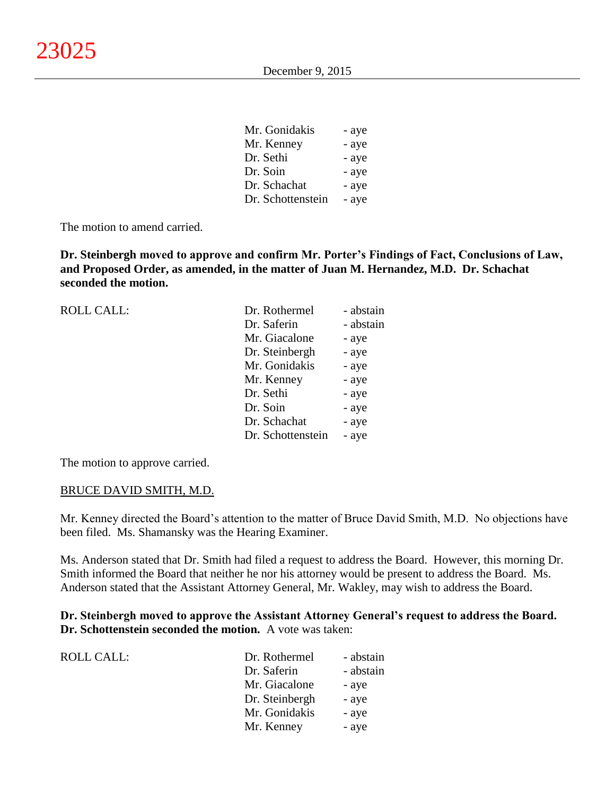| Mr. Gonidakis     | - aye |
|-------------------|-------|
| Mr. Kenney        | - aye |
| Dr. Sethi         | - aye |
| Dr. Soin          | - aye |
| Dr. Schachat      | - aye |
| Dr. Schottenstein | - aye |

 $\overline{M}$   $\overline{G}$   $\overline{G}$ 

The motion to amend carried.

**Dr. Steinbergh moved to approve and confirm Mr. Porter's Findings of Fact, Conclusions of Law, and Proposed Order, as amended, in the matter of Juan M. Hernandez, M.D. Dr. Schachat seconded the motion.**

| <b>ROLL CALL:</b> | Dr. Rothermel     | - abstain |
|-------------------|-------------------|-----------|
|                   | Dr. Saferin       | - abstain |
|                   | Mr. Giacalone     | - aye     |
|                   | Dr. Steinbergh    | - aye     |
|                   | Mr. Gonidakis     | - aye     |
|                   | Mr. Kenney        | - aye     |
|                   | Dr. Sethi         | - aye     |
|                   | Dr. Soin          | - aye     |
|                   | Dr. Schachat      | - aye     |
|                   | Dr. Schottenstein | - aye     |
|                   |                   |           |

The motion to approve carried.

#### BRUCE DAVID SMITH, M.D.

Mr. Kenney directed the Board's attention to the matter of Bruce David Smith, M.D. No objections have been filed. Ms. Shamansky was the Hearing Examiner.

Ms. Anderson stated that Dr. Smith had filed a request to address the Board. However, this morning Dr. Smith informed the Board that neither he nor his attorney would be present to address the Board. Ms. Anderson stated that the Assistant Attorney General, Mr. Wakley, may wish to address the Board.

**Dr. Steinbergh moved to approve the Assistant Attorney General's request to address the Board. Dr. Schottenstein seconded the motion.** A vote was taken:

| <b>ROLL CALL:</b> | Dr. Rothermel  | - abstain |
|-------------------|----------------|-----------|
|                   | Dr. Saferin    | - abstain |
|                   | Mr. Giacalone  | - aye     |
|                   | Dr. Steinbergh | - aye     |
|                   | Mr. Gonidakis  | - aye     |
|                   | Mr. Kenney     | - aye     |
|                   |                |           |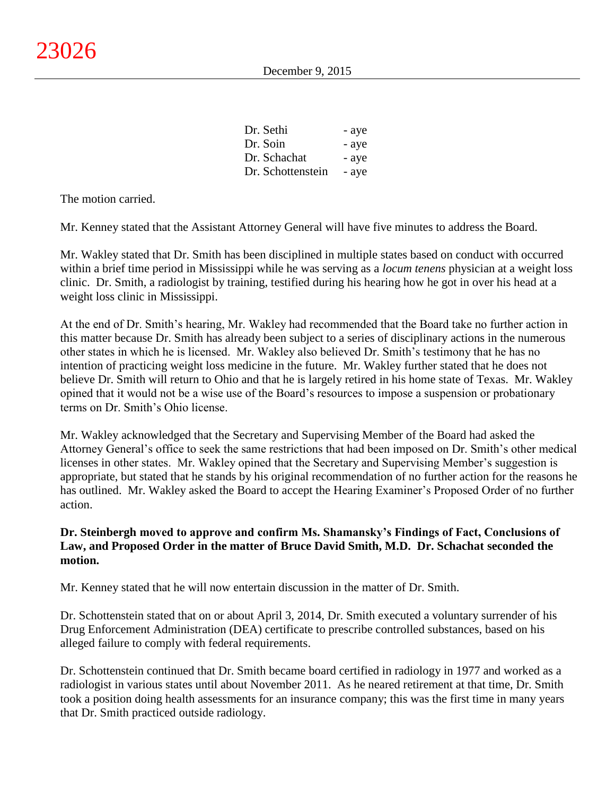| Dr. Sethi         | - aye |
|-------------------|-------|
| Dr. Soin          | - aye |
| Dr. Schachat      | - aye |
| Dr. Schottenstein | - aye |

The motion carried.

Mr. Kenney stated that the Assistant Attorney General will have five minutes to address the Board.

Mr. Wakley stated that Dr. Smith has been disciplined in multiple states based on conduct with occurred within a brief time period in Mississippi while he was serving as a *locum tenens* physician at a weight loss clinic. Dr. Smith, a radiologist by training, testified during his hearing how he got in over his head at a weight loss clinic in Mississippi.

At the end of Dr. Smith's hearing, Mr. Wakley had recommended that the Board take no further action in this matter because Dr. Smith has already been subject to a series of disciplinary actions in the numerous other states in which he is licensed. Mr. Wakley also believed Dr. Smith's testimony that he has no intention of practicing weight loss medicine in the future. Mr. Wakley further stated that he does not believe Dr. Smith will return to Ohio and that he is largely retired in his home state of Texas. Mr. Wakley opined that it would not be a wise use of the Board's resources to impose a suspension or probationary terms on Dr. Smith's Ohio license.

Mr. Wakley acknowledged that the Secretary and Supervising Member of the Board had asked the Attorney General's office to seek the same restrictions that had been imposed on Dr. Smith's other medical licenses in other states. Mr. Wakley opined that the Secretary and Supervising Member's suggestion is appropriate, but stated that he stands by his original recommendation of no further action for the reasons he has outlined. Mr. Wakley asked the Board to accept the Hearing Examiner's Proposed Order of no further action.

# **Dr. Steinbergh moved to approve and confirm Ms. Shamansky's Findings of Fact, Conclusions of Law, and Proposed Order in the matter of Bruce David Smith, M.D. Dr. Schachat seconded the motion.**

Mr. Kenney stated that he will now entertain discussion in the matter of Dr. Smith.

Dr. Schottenstein stated that on or about April 3, 2014, Dr. Smith executed a voluntary surrender of his Drug Enforcement Administration (DEA) certificate to prescribe controlled substances, based on his alleged failure to comply with federal requirements.

Dr. Schottenstein continued that Dr. Smith became board certified in radiology in 1977 and worked as a radiologist in various states until about November 2011. As he neared retirement at that time, Dr. Smith took a position doing health assessments for an insurance company; this was the first time in many years that Dr. Smith practiced outside radiology.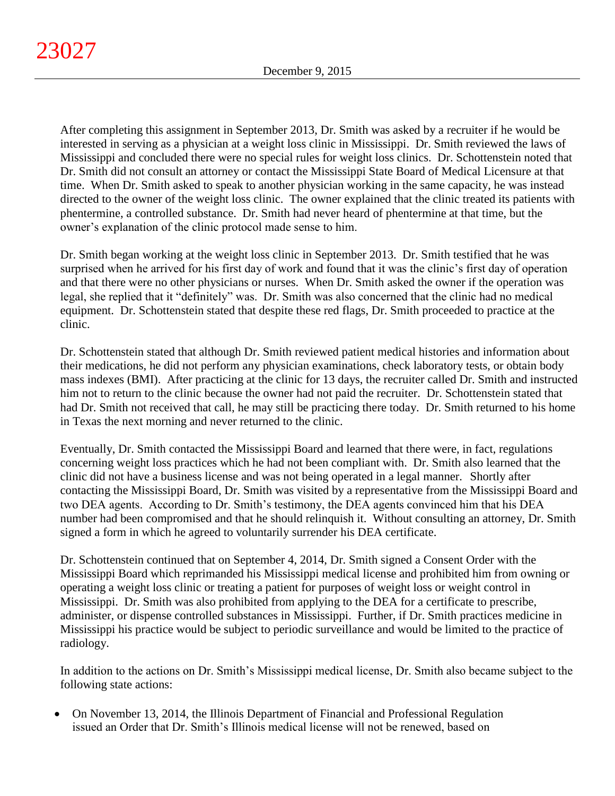After completing this assignment in September 2013, Dr. Smith was asked by a recruiter if he would be interested in serving as a physician at a weight loss clinic in Mississippi. Dr. Smith reviewed the laws of Mississippi and concluded there were no special rules for weight loss clinics. Dr. Schottenstein noted that Dr. Smith did not consult an attorney or contact the Mississippi State Board of Medical Licensure at that time. When Dr. Smith asked to speak to another physician working in the same capacity, he was instead directed to the owner of the weight loss clinic. The owner explained that the clinic treated its patients with phentermine, a controlled substance. Dr. Smith had never heard of phentermine at that time, but the owner's explanation of the clinic protocol made sense to him.

Dr. Smith began working at the weight loss clinic in September 2013. Dr. Smith testified that he was surprised when he arrived for his first day of work and found that it was the clinic's first day of operation and that there were no other physicians or nurses. When Dr. Smith asked the owner if the operation was legal, she replied that it "definitely" was. Dr. Smith was also concerned that the clinic had no medical equipment. Dr. Schottenstein stated that despite these red flags, Dr. Smith proceeded to practice at the clinic.

Dr. Schottenstein stated that although Dr. Smith reviewed patient medical histories and information about their medications, he did not perform any physician examinations, check laboratory tests, or obtain body mass indexes (BMI). After practicing at the clinic for 13 days, the recruiter called Dr. Smith and instructed him not to return to the clinic because the owner had not paid the recruiter. Dr. Schottenstein stated that had Dr. Smith not received that call, he may still be practicing there today. Dr. Smith returned to his home in Texas the next morning and never returned to the clinic.

Eventually, Dr. Smith contacted the Mississippi Board and learned that there were, in fact, regulations concerning weight loss practices which he had not been compliant with. Dr. Smith also learned that the clinic did not have a business license and was not being operated in a legal manner. Shortly after contacting the Mississippi Board, Dr. Smith was visited by a representative from the Mississippi Board and two DEA agents. According to Dr. Smith's testimony, the DEA agents convinced him that his DEA number had been compromised and that he should relinquish it. Without consulting an attorney, Dr. Smith signed a form in which he agreed to voluntarily surrender his DEA certificate.

Dr. Schottenstein continued that on September 4, 2014, Dr. Smith signed a Consent Order with the Mississippi Board which reprimanded his Mississippi medical license and prohibited him from owning or operating a weight loss clinic or treating a patient for purposes of weight loss or weight control in Mississippi. Dr. Smith was also prohibited from applying to the DEA for a certificate to prescribe, administer, or dispense controlled substances in Mississippi. Further, if Dr. Smith practices medicine in Mississippi his practice would be subject to periodic surveillance and would be limited to the practice of radiology.

In addition to the actions on Dr. Smith's Mississippi medical license, Dr. Smith also became subject to the following state actions:

 On November 13, 2014, the Illinois Department of Financial and Professional Regulation issued an Order that Dr. Smith's Illinois medical license will not be renewed, based on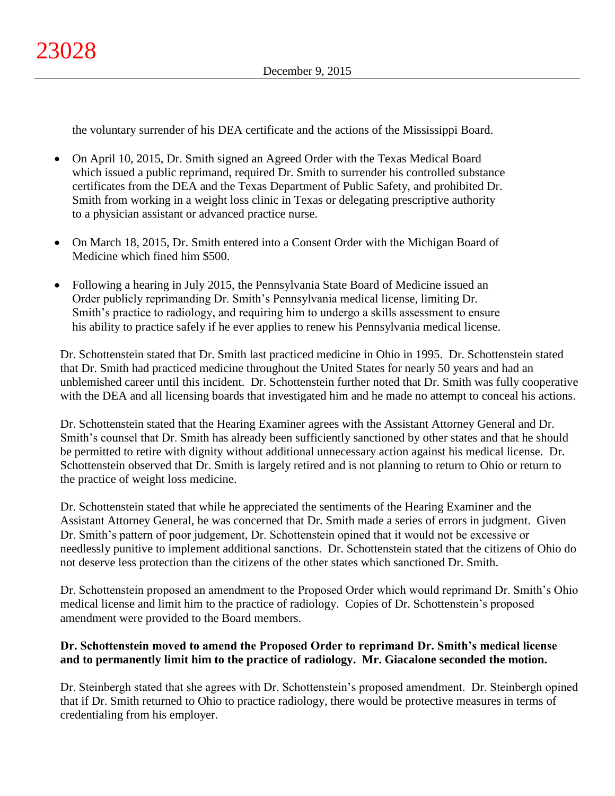the voluntary surrender of his DEA certificate and the actions of the Mississippi Board.

- On April 10, 2015, Dr. Smith signed an Agreed Order with the Texas Medical Board which issued a public reprimand, required Dr. Smith to surrender his controlled substance certificates from the DEA and the Texas Department of Public Safety, and prohibited Dr. Smith from working in a weight loss clinic in Texas or delegating prescriptive authority to a physician assistant or advanced practice nurse.
- On March 18, 2015, Dr. Smith entered into a Consent Order with the Michigan Board of Medicine which fined him \$500.
- Following a hearing in July 2015, the Pennsylvania State Board of Medicine issued an Order publicly reprimanding Dr. Smith's Pennsylvania medical license, limiting Dr. Smith's practice to radiology, and requiring him to undergo a skills assessment to ensure his ability to practice safely if he ever applies to renew his Pennsylvania medical license.

Dr. Schottenstein stated that Dr. Smith last practiced medicine in Ohio in 1995. Dr. Schottenstein stated that Dr. Smith had practiced medicine throughout the United States for nearly 50 years and had an unblemished career until this incident. Dr. Schottenstein further noted that Dr. Smith was fully cooperative with the DEA and all licensing boards that investigated him and he made no attempt to conceal his actions.

Dr. Schottenstein stated that the Hearing Examiner agrees with the Assistant Attorney General and Dr. Smith's counsel that Dr. Smith has already been sufficiently sanctioned by other states and that he should be permitted to retire with dignity without additional unnecessary action against his medical license. Dr. Schottenstein observed that Dr. Smith is largely retired and is not planning to return to Ohio or return to the practice of weight loss medicine.

Dr. Schottenstein stated that while he appreciated the sentiments of the Hearing Examiner and the Assistant Attorney General, he was concerned that Dr. Smith made a series of errors in judgment. Given Dr. Smith's pattern of poor judgement, Dr. Schottenstein opined that it would not be excessive or needlessly punitive to implement additional sanctions. Dr. Schottenstein stated that the citizens of Ohio do not deserve less protection than the citizens of the other states which sanctioned Dr. Smith.

Dr. Schottenstein proposed an amendment to the Proposed Order which would reprimand Dr. Smith's Ohio medical license and limit him to the practice of radiology. Copies of Dr. Schottenstein's proposed amendment were provided to the Board members.

# **Dr. Schottenstein moved to amend the Proposed Order to reprimand Dr. Smith's medical license and to permanently limit him to the practice of radiology. Mr. Giacalone seconded the motion.**

Dr. Steinbergh stated that she agrees with Dr. Schottenstein's proposed amendment. Dr. Steinbergh opined that if Dr. Smith returned to Ohio to practice radiology, there would be protective measures in terms of credentialing from his employer.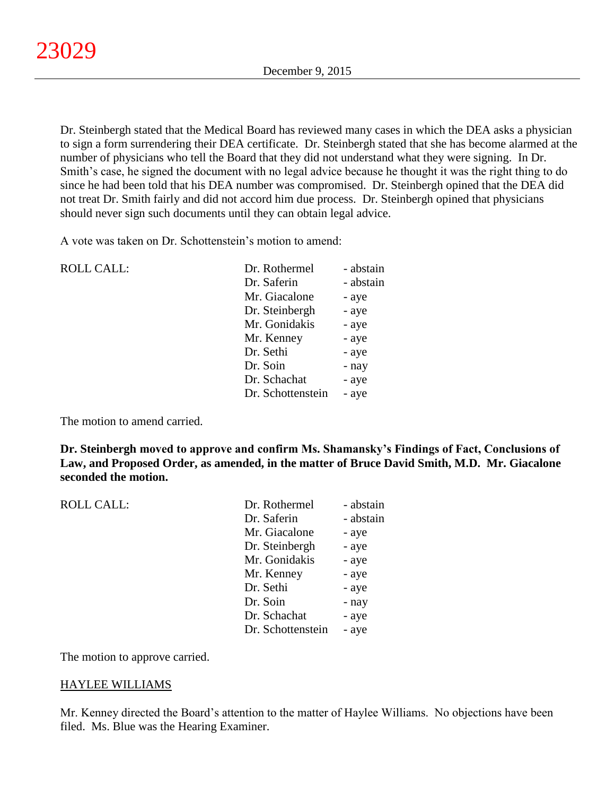Dr. Steinbergh stated that the Medical Board has reviewed many cases in which the DEA asks a physician to sign a form surrendering their DEA certificate. Dr. Steinbergh stated that she has become alarmed at the number of physicians who tell the Board that they did not understand what they were signing. In Dr. Smith's case, he signed the document with no legal advice because he thought it was the right thing to do since he had been told that his DEA number was compromised. Dr. Steinbergh opined that the DEA did not treat Dr. Smith fairly and did not accord him due process. Dr. Steinbergh opined that physicians should never sign such documents until they can obtain legal advice.

A vote was taken on Dr. Schottenstein's motion to amend:

| <b>ROLL CALL:</b> | Dr. Rothermel     | - abstain |
|-------------------|-------------------|-----------|
|                   | Dr. Saferin       | - abstain |
|                   | Mr. Giacalone     | - aye     |
|                   | Dr. Steinbergh    | - aye     |
|                   | Mr. Gonidakis     | - aye     |
|                   | Mr. Kenney        | - aye     |
|                   | Dr. Sethi         | - aye     |
|                   | Dr. Soin          | - nay     |
|                   | Dr. Schachat      | - aye     |
|                   | Dr. Schottenstein | - aye     |
|                   |                   |           |

The motion to amend carried.

**Dr. Steinbergh moved to approve and confirm Ms. Shamansky's Findings of Fact, Conclusions of Law, and Proposed Order, as amended, in the matter of Bruce David Smith, M.D. Mr. Giacalone seconded the motion.**

| <b>ROLL CALL:</b> | Dr. Rothermel     | - abstain |
|-------------------|-------------------|-----------|
|                   | Dr. Saferin       | - abstain |
|                   | Mr. Giacalone     | - aye     |
|                   | Dr. Steinbergh    | - aye     |
|                   | Mr. Gonidakis     | - aye     |
|                   | Mr. Kenney        | - aye     |
|                   | Dr. Sethi         | - aye     |
|                   | Dr. Soin          | - nay     |
|                   | Dr. Schachat      | - aye     |
|                   | Dr. Schottenstein | - aye     |
|                   |                   |           |

The motion to approve carried.

# HAYLEE WILLIAMS

Mr. Kenney directed the Board's attention to the matter of Haylee Williams. No objections have been filed. Ms. Blue was the Hearing Examiner.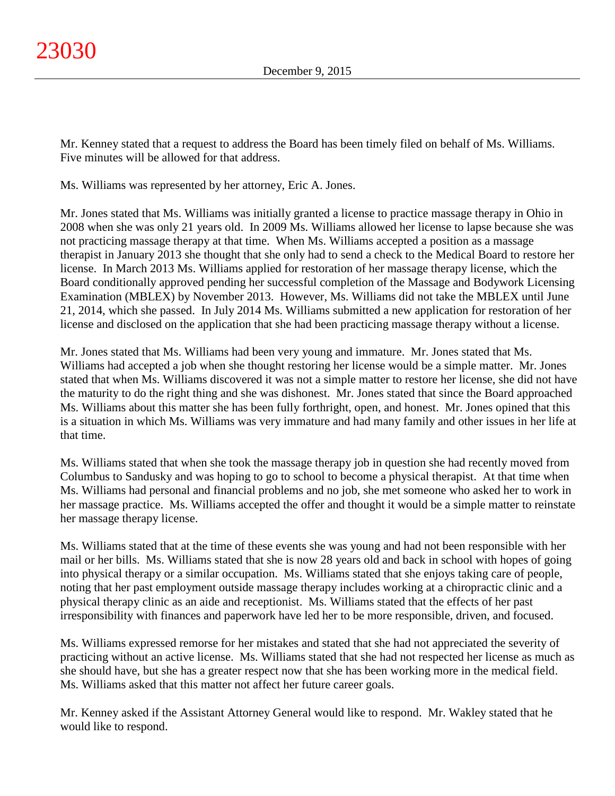Mr. Kenney stated that a request to address the Board has been timely filed on behalf of Ms. Williams. Five minutes will be allowed for that address.

Ms. Williams was represented by her attorney, Eric A. Jones.

Mr. Jones stated that Ms. Williams was initially granted a license to practice massage therapy in Ohio in 2008 when she was only 21 years old. In 2009 Ms. Williams allowed her license to lapse because she was not practicing massage therapy at that time. When Ms. Williams accepted a position as a massage therapist in January 2013 she thought that she only had to send a check to the Medical Board to restore her license. In March 2013 Ms. Williams applied for restoration of her massage therapy license, which the Board conditionally approved pending her successful completion of the Massage and Bodywork Licensing Examination (MBLEX) by November 2013. However, Ms. Williams did not take the MBLEX until June 21, 2014, which she passed. In July 2014 Ms. Williams submitted a new application for restoration of her license and disclosed on the application that she had been practicing massage therapy without a license.

Mr. Jones stated that Ms. Williams had been very young and immature. Mr. Jones stated that Ms. Williams had accepted a job when she thought restoring her license would be a simple matter. Mr. Jones stated that when Ms. Williams discovered it was not a simple matter to restore her license, she did not have the maturity to do the right thing and she was dishonest. Mr. Jones stated that since the Board approached Ms. Williams about this matter she has been fully forthright, open, and honest. Mr. Jones opined that this is a situation in which Ms. Williams was very immature and had many family and other issues in her life at that time.

Ms. Williams stated that when she took the massage therapy job in question she had recently moved from Columbus to Sandusky and was hoping to go to school to become a physical therapist. At that time when Ms. Williams had personal and financial problems and no job, she met someone who asked her to work in her massage practice. Ms. Williams accepted the offer and thought it would be a simple matter to reinstate her massage therapy license.

Ms. Williams stated that at the time of these events she was young and had not been responsible with her mail or her bills. Ms. Williams stated that she is now 28 years old and back in school with hopes of going into physical therapy or a similar occupation. Ms. Williams stated that she enjoys taking care of people, noting that her past employment outside massage therapy includes working at a chiropractic clinic and a physical therapy clinic as an aide and receptionist. Ms. Williams stated that the effects of her past irresponsibility with finances and paperwork have led her to be more responsible, driven, and focused.

Ms. Williams expressed remorse for her mistakes and stated that she had not appreciated the severity of practicing without an active license. Ms. Williams stated that she had not respected her license as much as she should have, but she has a greater respect now that she has been working more in the medical field. Ms. Williams asked that this matter not affect her future career goals.

Mr. Kenney asked if the Assistant Attorney General would like to respond. Mr. Wakley stated that he would like to respond.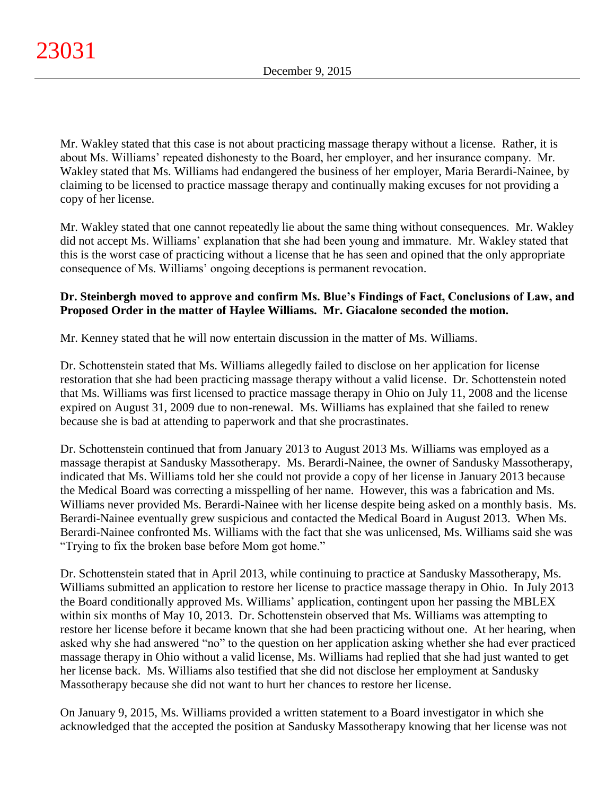Mr. Wakley stated that this case is not about practicing massage therapy without a license. Rather, it is about Ms. Williams' repeated dishonesty to the Board, her employer, and her insurance company. Mr. Wakley stated that Ms. Williams had endangered the business of her employer, Maria Berardi-Nainee, by claiming to be licensed to practice massage therapy and continually making excuses for not providing a copy of her license.

Mr. Wakley stated that one cannot repeatedly lie about the same thing without consequences. Mr. Wakley did not accept Ms. Williams' explanation that she had been young and immature. Mr. Wakley stated that this is the worst case of practicing without a license that he has seen and opined that the only appropriate consequence of Ms. Williams' ongoing deceptions is permanent revocation.

# **Dr. Steinbergh moved to approve and confirm Ms. Blue's Findings of Fact, Conclusions of Law, and Proposed Order in the matter of Haylee Williams. Mr. Giacalone seconded the motion.**

Mr. Kenney stated that he will now entertain discussion in the matter of Ms. Williams.

Dr. Schottenstein stated that Ms. Williams allegedly failed to disclose on her application for license restoration that she had been practicing massage therapy without a valid license. Dr. Schottenstein noted that Ms. Williams was first licensed to practice massage therapy in Ohio on July 11, 2008 and the license expired on August 31, 2009 due to non-renewal. Ms. Williams has explained that she failed to renew because she is bad at attending to paperwork and that she procrastinates.

Dr. Schottenstein continued that from January 2013 to August 2013 Ms. Williams was employed as a massage therapist at Sandusky Massotherapy. Ms. Berardi-Nainee, the owner of Sandusky Massotherapy, indicated that Ms. Williams told her she could not provide a copy of her license in January 2013 because the Medical Board was correcting a misspelling of her name. However, this was a fabrication and Ms. Williams never provided Ms. Berardi-Nainee with her license despite being asked on a monthly basis. Ms. Berardi-Nainee eventually grew suspicious and contacted the Medical Board in August 2013. When Ms. Berardi-Nainee confronted Ms. Williams with the fact that she was unlicensed, Ms. Williams said she was "Trying to fix the broken base before Mom got home."

Dr. Schottenstein stated that in April 2013, while continuing to practice at Sandusky Massotherapy, Ms. Williams submitted an application to restore her license to practice massage therapy in Ohio. In July 2013 the Board conditionally approved Ms. Williams' application, contingent upon her passing the MBLEX within six months of May 10, 2013. Dr. Schottenstein observed that Ms. Williams was attempting to restore her license before it became known that she had been practicing without one. At her hearing, when asked why she had answered "no" to the question on her application asking whether she had ever practiced massage therapy in Ohio without a valid license, Ms. Williams had replied that she had just wanted to get her license back. Ms. Williams also testified that she did not disclose her employment at Sandusky Massotherapy because she did not want to hurt her chances to restore her license.

On January 9, 2015, Ms. Williams provided a written statement to a Board investigator in which she acknowledged that the accepted the position at Sandusky Massotherapy knowing that her license was not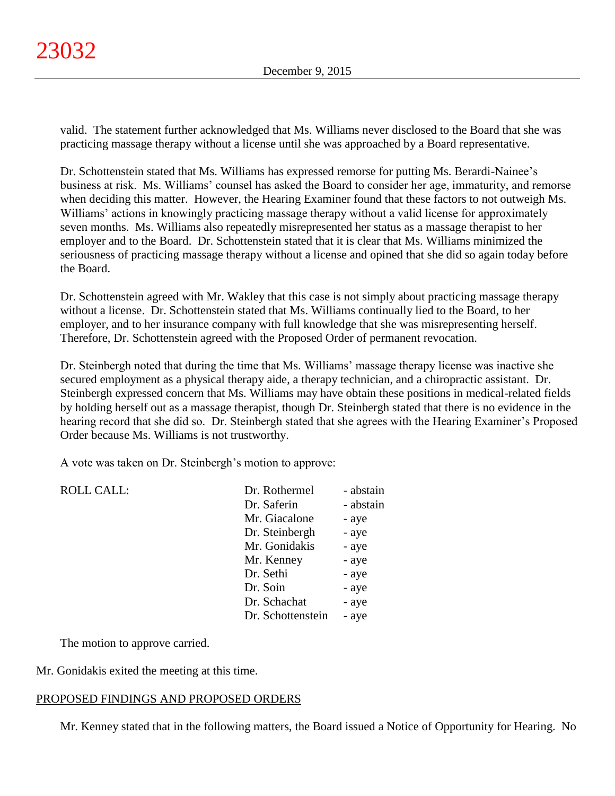valid. The statement further acknowledged that Ms. Williams never disclosed to the Board that she was practicing massage therapy without a license until she was approached by a Board representative.

Dr. Schottenstein stated that Ms. Williams has expressed remorse for putting Ms. Berardi-Nainee's business at risk. Ms. Williams' counsel has asked the Board to consider her age, immaturity, and remorse when deciding this matter. However, the Hearing Examiner found that these factors to not outweigh Ms. Williams' actions in knowingly practicing massage therapy without a valid license for approximately seven months. Ms. Williams also repeatedly misrepresented her status as a massage therapist to her employer and to the Board. Dr. Schottenstein stated that it is clear that Ms. Williams minimized the seriousness of practicing massage therapy without a license and opined that she did so again today before the Board.

Dr. Schottenstein agreed with Mr. Wakley that this case is not simply about practicing massage therapy without a license. Dr. Schottenstein stated that Ms. Williams continually lied to the Board, to her employer, and to her insurance company with full knowledge that she was misrepresenting herself. Therefore, Dr. Schottenstein agreed with the Proposed Order of permanent revocation.

Dr. Steinbergh noted that during the time that Ms. Williams' massage therapy license was inactive she secured employment as a physical therapy aide, a therapy technician, and a chiropractic assistant. Dr. Steinbergh expressed concern that Ms. Williams may have obtain these positions in medical-related fields by holding herself out as a massage therapist, though Dr. Steinbergh stated that there is no evidence in the hearing record that she did so. Dr. Steinbergh stated that she agrees with the Hearing Examiner's Proposed Order because Ms. Williams is not trustworthy.

A vote was taken on Dr. Steinbergh's motion to approve:

| <b>ROLL CALL:</b> | Dr. Rothermel     | - abstain |
|-------------------|-------------------|-----------|
|                   | Dr. Saferin       | - abstain |
|                   | Mr. Giacalone     | - aye     |
|                   | Dr. Steinbergh    | - aye     |
|                   | Mr. Gonidakis     | - aye     |
|                   | Mr. Kenney        | - aye     |
|                   | Dr. Sethi         | - aye     |
|                   | Dr. Soin          | - aye     |
|                   | Dr. Schachat      | - aye     |
|                   | Dr. Schottenstein | - aye     |
|                   |                   |           |

The motion to approve carried.

Mr. Gonidakis exited the meeting at this time.

# PROPOSED FINDINGS AND PROPOSED ORDERS

Mr. Kenney stated that in the following matters, the Board issued a Notice of Opportunity for Hearing. No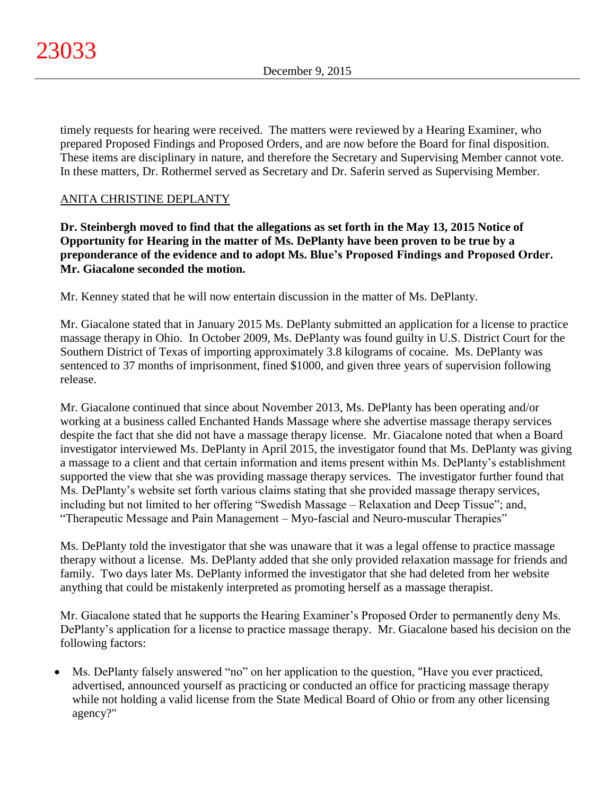timely requests for hearing were received. The matters were reviewed by a Hearing Examiner, who prepared Proposed Findings and Proposed Orders, and are now before the Board for final disposition. These items are disciplinary in nature, and therefore the Secretary and Supervising Member cannot vote. In these matters, Dr. Rothermel served as Secretary and Dr. Saferin served as Supervising Member.

# ANITA CHRISTINE DEPLANTY

**Dr. Steinbergh moved to find that the allegations as set forth in the May 13, 2015 Notice of Opportunity for Hearing in the matter of Ms. DePlanty have been proven to be true by a preponderance of the evidence and to adopt Ms. Blue's Proposed Findings and Proposed Order. Mr. Giacalone seconded the motion.**

Mr. Kenney stated that he will now entertain discussion in the matter of Ms. DePlanty.

Mr. Giacalone stated that in January 2015 Ms. DePlanty submitted an application for a license to practice massage therapy in Ohio. In October 2009, Ms. DePlanty was found guilty in U.S. District Court for the Southern District of Texas of importing approximately 3.8 kilograms of cocaine. Ms. DePlanty was sentenced to 37 months of imprisonment, fined \$1000, and given three years of supervision following release.

Mr. Giacalone continued that since about November 2013, Ms. DePlanty has been operating and/or working at a business called Enchanted Hands Massage where she advertise massage therapy services despite the fact that she did not have a massage therapy license. Mr. Giacalone noted that when a Board investigator interviewed Ms. DePlanty in April 2015, the investigator found that Ms. DePlanty was giving a massage to a client and that certain information and items present within Ms. DePlanty's establishment supported the view that she was providing massage therapy services. The investigator further found that Ms. DePlanty's website set forth various claims stating that she provided massage therapy services, including but not limited to her offering "Swedish Massage – Relaxation and Deep Tissue"; and, "Therapeutic Message and Pain Management – Myo-fascial and Neuro-muscular Therapies"

Ms. DePlanty told the investigator that she was unaware that it was a legal offense to practice massage therapy without a license. Ms. DePlanty added that she only provided relaxation massage for friends and family. Two days later Ms. DePlanty informed the investigator that she had deleted from her website anything that could be mistakenly interpreted as promoting herself as a massage therapist.

Mr. Giacalone stated that he supports the Hearing Examiner's Proposed Order to permanently deny Ms. DePlanty's application for a license to practice massage therapy. Mr. Giacalone based his decision on the following factors:

 Ms. DePlanty falsely answered "no" on her application to the question, "Have you ever practiced, advertised, announced yourself as practicing or conducted an office for practicing massage therapy while not holding a valid license from the State Medical Board of Ohio or from any other licensing agency?"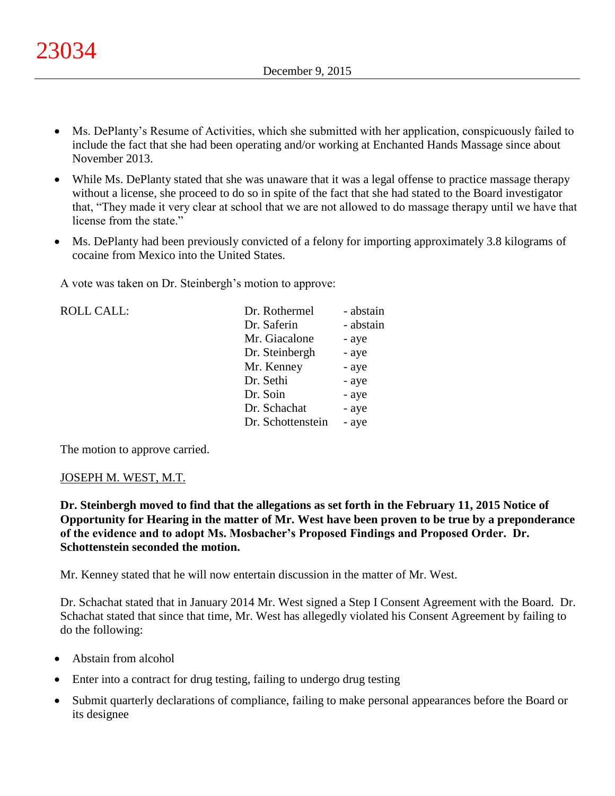- Ms. DePlanty's Resume of Activities, which she submitted with her application, conspicuously failed to include the fact that she had been operating and/or working at Enchanted Hands Massage since about November 2013.
- While Ms. DePlanty stated that she was unaware that it was a legal offense to practice massage therapy without a license, she proceed to do so in spite of the fact that she had stated to the Board investigator that, "They made it very clear at school that we are not allowed to do massage therapy until we have that license from the state."
- Ms. DePlanty had been previously convicted of a felony for importing approximately 3.8 kilograms of cocaine from Mexico into the United States.

A vote was taken on Dr. Steinbergh's motion to approve:

| <b>ROLL CALL:</b> | Dr. Rothermel     | - abstain |
|-------------------|-------------------|-----------|
|                   | Dr. Saferin       | - abstain |
|                   | Mr. Giacalone     | - aye     |
|                   | Dr. Steinbergh    | - aye     |
|                   | Mr. Kenney        | - aye     |
|                   | Dr. Sethi         | - aye     |
|                   | Dr. Soin          | - aye     |
|                   | Dr. Schachat      | - aye     |
|                   | Dr. Schottenstein | - aye     |
|                   |                   |           |

The motion to approve carried.

#### JOSEPH M. WEST, M.T.

**Dr. Steinbergh moved to find that the allegations as set forth in the February 11, 2015 Notice of Opportunity for Hearing in the matter of Mr. West have been proven to be true by a preponderance of the evidence and to adopt Ms. Mosbacher's Proposed Findings and Proposed Order. Dr. Schottenstein seconded the motion.**

Mr. Kenney stated that he will now entertain discussion in the matter of Mr. West.

Dr. Schachat stated that in January 2014 Mr. West signed a Step I Consent Agreement with the Board. Dr. Schachat stated that since that time, Mr. West has allegedly violated his Consent Agreement by failing to do the following:

- Abstain from alcohol
- Enter into a contract for drug testing, failing to undergo drug testing
- Submit quarterly declarations of compliance, failing to make personal appearances before the Board or its designee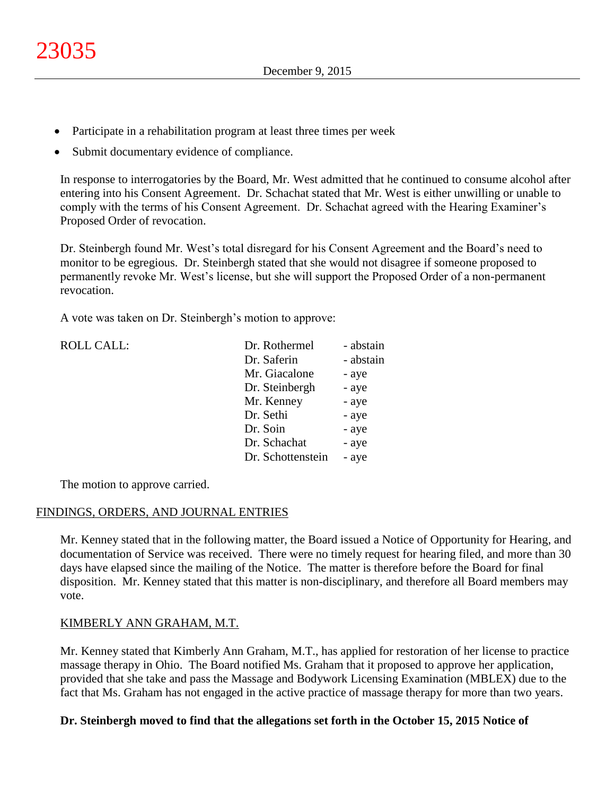- Participate in a rehabilitation program at least three times per week
- Submit documentary evidence of compliance.

In response to interrogatories by the Board, Mr. West admitted that he continued to consume alcohol after entering into his Consent Agreement. Dr. Schachat stated that Mr. West is either unwilling or unable to comply with the terms of his Consent Agreement. Dr. Schachat agreed with the Hearing Examiner's Proposed Order of revocation.

Dr. Steinbergh found Mr. West's total disregard for his Consent Agreement and the Board's need to monitor to be egregious. Dr. Steinbergh stated that she would not disagree if someone proposed to permanently revoke Mr. West's license, but she will support the Proposed Order of a non-permanent revocation.

A vote was taken on Dr. Steinbergh's motion to approve:

| <b>ROLL CALL:</b> | Dr. Rothermel     | - abstain |
|-------------------|-------------------|-----------|
|                   | Dr. Saferin       | - abstain |
|                   | Mr. Giacalone     | - aye     |
|                   | Dr. Steinbergh    | - aye     |
|                   | Mr. Kenney        | - aye     |
|                   | Dr. Sethi         | - aye     |
|                   | Dr. Soin          | - aye     |
|                   | Dr. Schachat      | - aye     |
|                   | Dr. Schottenstein | - aye     |
|                   |                   |           |

The motion to approve carried.

# FINDINGS, ORDERS, AND JOURNAL ENTRIES

Mr. Kenney stated that in the following matter, the Board issued a Notice of Opportunity for Hearing, and documentation of Service was received. There were no timely request for hearing filed, and more than 30 days have elapsed since the mailing of the Notice. The matter is therefore before the Board for final disposition. Mr. Kenney stated that this matter is non-disciplinary, and therefore all Board members may vote.

# KIMBERLY ANN GRAHAM, M.T.

Mr. Kenney stated that Kimberly Ann Graham, M.T., has applied for restoration of her license to practice massage therapy in Ohio. The Board notified Ms. Graham that it proposed to approve her application, provided that she take and pass the Massage and Bodywork Licensing Examination (MBLEX) due to the fact that Ms. Graham has not engaged in the active practice of massage therapy for more than two years.

# **Dr. Steinbergh moved to find that the allegations set forth in the October 15, 2015 Notice of**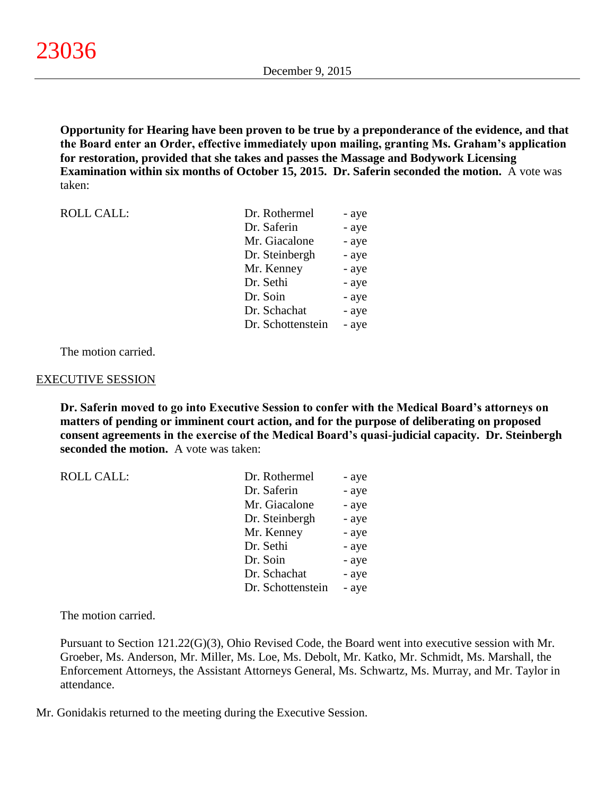**Opportunity for Hearing have been proven to be true by a preponderance of the evidence, and that the Board enter an Order, effective immediately upon mailing, granting Ms. Graham's application for restoration, provided that she takes and passes the Massage and Bodywork Licensing Examination within six months of October 15, 2015. Dr. Saferin seconded the motion.** A vote was taken:

| <b>ROLL CALL:</b> | Dr. Rothermel     | - aye |
|-------------------|-------------------|-------|
|                   | Dr. Saferin       | - aye |
|                   | Mr. Giacalone     | - aye |
|                   | Dr. Steinbergh    | - aye |
|                   | Mr. Kenney        | - aye |
|                   | Dr. Sethi         | - aye |
|                   | Dr. Soin          | - aye |
|                   | Dr. Schachat      | - aye |
|                   | Dr. Schottenstein | - aye |

The motion carried.

#### EXECUTIVE SESSION

**Dr. Saferin moved to go into Executive Session to confer with the Medical Board's attorneys on matters of pending or imminent court action, and for the purpose of deliberating on proposed consent agreements in the exercise of the Medical Board's quasi-judicial capacity. Dr. Steinbergh seconded the motion.** A vote was taken:

| <b>ROLL CALL:</b> | Dr. Rothermel     | - aye |
|-------------------|-------------------|-------|
|                   | Dr. Saferin       | - aye |
|                   | Mr. Giacalone     | - aye |
|                   | Dr. Steinbergh    | - aye |
|                   | Mr. Kenney        | - aye |
|                   | Dr. Sethi         | - aye |
|                   | Dr. Soin          | - aye |
|                   | Dr. Schachat      | - aye |
|                   | Dr. Schottenstein | - aye |

The motion carried.

Pursuant to Section 121.22(G)(3), Ohio Revised Code, the Board went into executive session with Mr. Groeber, Ms. Anderson, Mr. Miller, Ms. Loe, Ms. Debolt, Mr. Katko, Mr. Schmidt, Ms. Marshall, the Enforcement Attorneys, the Assistant Attorneys General, Ms. Schwartz, Ms. Murray, and Mr. Taylor in attendance.

Mr. Gonidakis returned to the meeting during the Executive Session.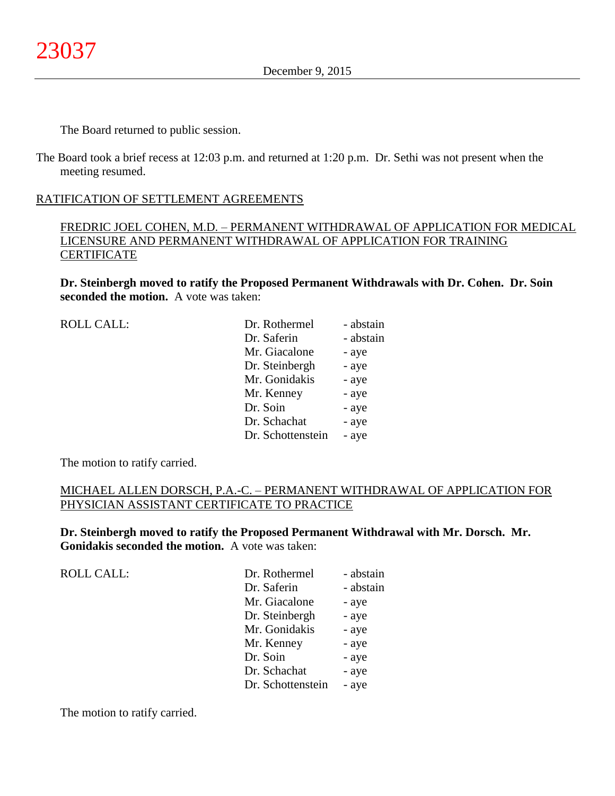The Board returned to public session.

The Board took a brief recess at 12:03 p.m. and returned at 1:20 p.m. Dr. Sethi was not present when the meeting resumed.

# RATIFICATION OF SETTLEMENT AGREEMENTS

# FREDRIC JOEL COHEN, M.D. – PERMANENT WITHDRAWAL OF APPLICATION FOR MEDICAL LICENSURE AND PERMANENT WITHDRAWAL OF APPLICATION FOR TRAINING **CERTIFICATE**

**Dr. Steinbergh moved to ratify the Proposed Permanent Withdrawals with Dr. Cohen. Dr. Soin seconded the motion.** A vote was taken:

| <b>ROLL CALL:</b> | Dr. Rothermel     | - abstain |
|-------------------|-------------------|-----------|
|                   | Dr. Saferin       | - abstain |
|                   | Mr. Giacalone     | - aye     |
|                   | Dr. Steinbergh    | - aye     |
|                   | Mr. Gonidakis     | - aye     |
|                   | Mr. Kenney        | - aye     |
|                   | Dr. Soin          | - aye     |
|                   | Dr. Schachat      | - aye     |
|                   | Dr. Schottenstein | - aye     |
|                   |                   |           |

The motion to ratify carried.

ROLL CALL:

# MICHAEL ALLEN DORSCH, P.A.-C. – PERMANENT WITHDRAWAL OF APPLICATION FOR PHYSICIAN ASSISTANT CERTIFICATE TO PRACTICE

**Dr. Steinbergh moved to ratify the Proposed Permanent Withdrawal with Mr. Dorsch. Mr. Gonidakis seconded the motion.** A vote was taken:

| Dr. Rothermel     | - abstain |
|-------------------|-----------|
| Dr. Saferin       | - abstain |
| Mr. Giacalone     | - aye     |
| Dr. Steinbergh    | - aye     |
| Mr. Gonidakis     | - aye     |
| Mr. Kenney        | - aye     |
| Dr. Soin          | - aye     |
| Dr. Schachat      | - aye     |
| Dr. Schottenstein | - aye     |

The motion to ratify carried.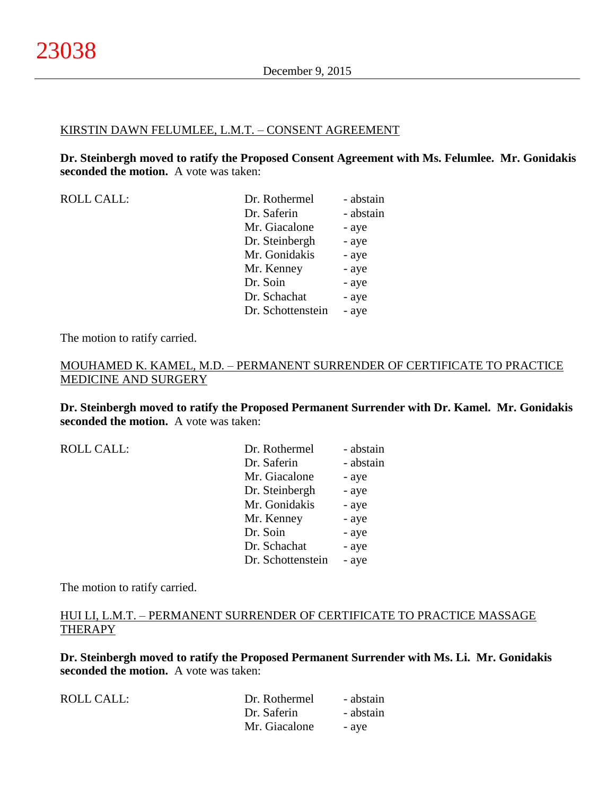#### KIRSTIN DAWN FELUMLEE, L.M.T. – CONSENT AGREEMENT

**Dr. Steinbergh moved to ratify the Proposed Consent Agreement with Ms. Felumlee. Mr. Gonidakis seconded the motion.** A vote was taken:

ROLL CALL: Dr. Rothermel - abstain Dr. Saferin - abstain Mr. Giacalone - aye Dr. Steinbergh - aye Mr. Gonidakis - aye Mr. Kenney - aye Dr. Soin - aye Dr. Schachat - aye Dr. Schottenstein - aye

The motion to ratify carried.

# MOUHAMED K. KAMEL, M.D. – PERMANENT SURRENDER OF CERTIFICATE TO PRACTICE MEDICINE AND SURGERY

**Dr. Steinbergh moved to ratify the Proposed Permanent Surrender with Dr. Kamel. Mr. Gonidakis seconded the motion.** A vote was taken:

ROLL CALL:

| Dr. Rothermel     | - abstain |
|-------------------|-----------|
| Dr. Saferin       | - abstain |
| Mr. Giacalone     | - aye     |
| Dr. Steinbergh    | - aye     |
| Mr. Gonidakis     | - aye     |
| Mr. Kenney        | - aye     |
| Dr. Soin          | - aye     |
| Dr. Schachat      | - aye     |
| Dr. Schottenstein | - aye     |

The motion to ratify carried.

# HUI LI, L.M.T. – PERMANENT SURRENDER OF CERTIFICATE TO PRACTICE MASSAGE THERAPY

**Dr. Steinbergh moved to ratify the Proposed Permanent Surrender with Ms. Li. Mr. Gonidakis seconded the motion.** A vote was taken:

| ROLL CALL: | Dr. Rothermel | - abstain |
|------------|---------------|-----------|
|            | Dr. Saferin   | - abstain |
|            | Mr. Giacalone | - ave     |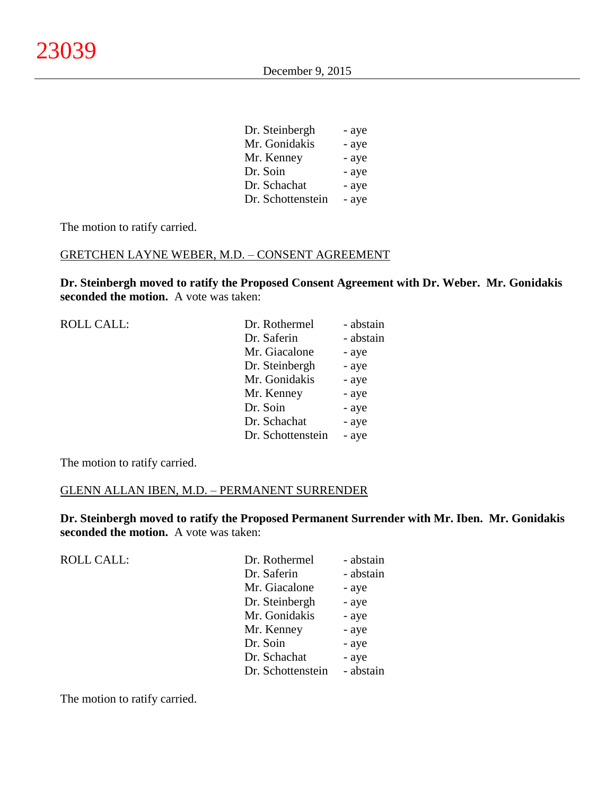| Dr. Steinbergh    | - aye |
|-------------------|-------|
| Mr. Gonidakis     | - aye |
| Mr. Kenney        | - aye |
| Dr. Soin          | - aye |
| Dr. Schachat      | - aye |
| Dr. Schottenstein | - aye |

The motion to ratify carried.

#### GRETCHEN LAYNE WEBER, M.D. – CONSENT AGREEMENT

**Dr. Steinbergh moved to ratify the Proposed Consent Agreement with Dr. Weber. Mr. Gonidakis seconded the motion.** A vote was taken:

| <b>ROLL CALL:</b> | Dr. Rothermel     | - abstain |
|-------------------|-------------------|-----------|
|                   | Dr. Saferin       | - abstain |
|                   | Mr. Giacalone     | - aye     |
|                   | Dr. Steinbergh    | - aye     |
|                   | Mr. Gonidakis     | - aye     |
|                   | Mr. Kenney        | - aye     |
|                   | Dr. Soin          | - aye     |
|                   | Dr. Schachat      | - aye     |
|                   | Dr. Schottenstein | - aye     |
|                   |                   |           |

The motion to ratify carried.

# GLENN ALLAN IBEN, M.D. – PERMANENT SURRENDER

**Dr. Steinbergh moved to ratify the Proposed Permanent Surrender with Mr. Iben. Mr. Gonidakis seconded the motion.** A vote was taken:

| <b>ROLL CALL:</b> | Dr. Rothermel     | - abstain |
|-------------------|-------------------|-----------|
|                   | Dr. Saferin       | - abstain |
|                   | Mr. Giacalone     | - aye     |
|                   | Dr. Steinbergh    | - aye     |
|                   | Mr. Gonidakis     | - aye     |
|                   | Mr. Kenney        | - aye     |
|                   | Dr. Soin          | - aye     |
|                   | Dr. Schachat      | - aye     |
|                   | Dr. Schottenstein | - abstain |
|                   |                   |           |

The motion to ratify carried.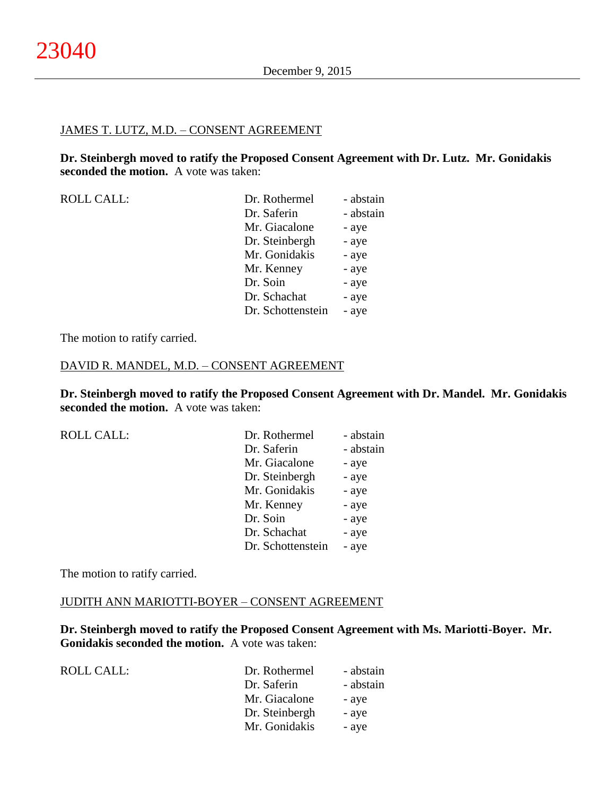#### JAMES T. LUTZ, M.D. – CONSENT AGREEMENT

**Dr. Steinbergh moved to ratify the Proposed Consent Agreement with Dr. Lutz. Mr. Gonidakis seconded the motion.** A vote was taken:

| <b>ROLL CALL:</b> | Dr. Rothermel     | - abstain |
|-------------------|-------------------|-----------|
|                   | Dr. Saferin       | - abstain |
|                   | Mr. Giacalone     | - aye     |
|                   | Dr. Steinbergh    | - aye     |
|                   | Mr. Gonidakis     | - aye     |
|                   | Mr. Kenney        | - aye     |
|                   | Dr. Soin          | - aye     |
|                   | Dr. Schachat      | - aye     |
|                   | Dr. Schottenstein | - aye     |

The motion to ratify carried.

#### DAVID R. MANDEL, M.D. – CONSENT AGREEMENT

**Dr. Steinbergh moved to ratify the Proposed Consent Agreement with Dr. Mandel. Mr. Gonidakis seconded the motion.** A vote was taken:

| <b>ROLL CALL:</b> | Dr. Rothermel     | - abstain |
|-------------------|-------------------|-----------|
|                   | Dr. Saferin       | - abstain |
|                   | Mr. Giacalone     | - aye     |
|                   | Dr. Steinbergh    | - aye     |
|                   | Mr. Gonidakis     | - aye     |
|                   | Mr. Kenney        | - aye     |
|                   | Dr. Soin          | - aye     |
|                   | Dr. Schachat      | - aye     |
|                   | Dr. Schottenstein | - aye     |
|                   |                   |           |

The motion to ratify carried.

#### JUDITH ANN MARIOTTI-BOYER – CONSENT AGREEMENT

**Dr. Steinbergh moved to ratify the Proposed Consent Agreement with Ms. Mariotti-Boyer. Mr. Gonidakis seconded the motion.** A vote was taken:

| ROLL CALL: | Dr. Rothermel  | - abstain |
|------------|----------------|-----------|
|            | Dr. Saferin    | - abstain |
|            | Mr. Giacalone  | - aye     |
|            | Dr. Steinbergh | - aye     |
|            | Mr. Gonidakis  | - aye     |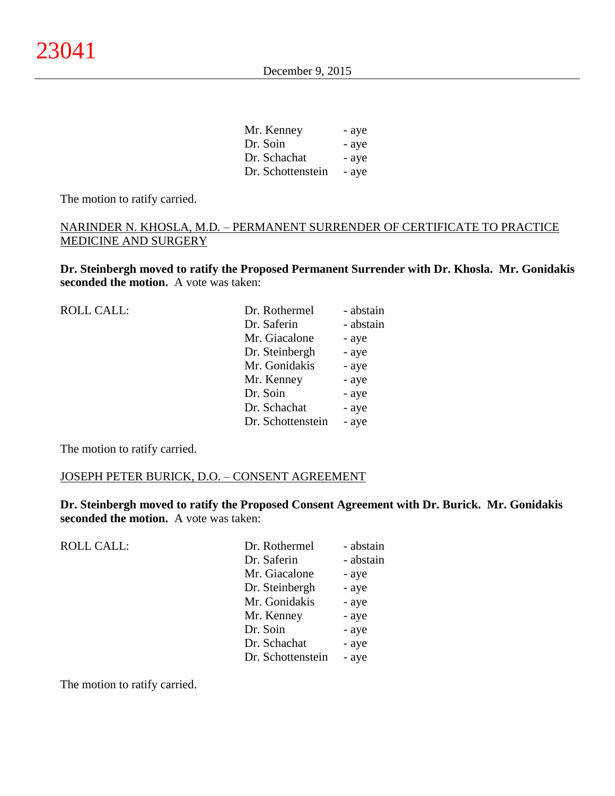December 9, 2015

| Mr. Kenney        | - aye |
|-------------------|-------|
| Dr. Soin          | - aye |
| Dr. Schachat      | - aye |
| Dr. Schottenstein | - aye |

The motion to ratify carried.

# NARINDER N. KHOSLA, M.D. – PERMANENT SURRENDER OF CERTIFICATE TO PRACTICE MEDICINE AND SURGERY

**Dr. Steinbergh moved to ratify the Proposed Permanent Surrender with Dr. Khosla. Mr. Gonidakis seconded the motion.** A vote was taken:

| <b>ROLL CALL:</b> | Dr. Rothermel     | - abstain |
|-------------------|-------------------|-----------|
|                   | Dr. Saferin       | - abstain |
|                   | Mr. Giacalone     | - aye     |
|                   | Dr. Steinbergh    | - aye     |
|                   | Mr. Gonidakis     | - aye     |
|                   | Mr. Kenney        | - aye     |
|                   | Dr. Soin          | - aye     |
|                   | Dr. Schachat      | - aye     |
|                   | Dr. Schottenstein | - aye     |
|                   |                   |           |

The motion to ratify carried.

# JOSEPH PETER BURICK, D.O. – CONSENT AGREEMENT

**Dr. Steinbergh moved to ratify the Proposed Consent Agreement with Dr. Burick. Mr. Gonidakis seconded the motion.** A vote was taken:

| ROLL CALL: | Dr. Rothermel     | - abstain |
|------------|-------------------|-----------|
|            | Dr. Saferin       | - abstain |
|            | Mr. Giacalone     | - aye     |
|            | Dr. Steinbergh    | - aye     |
|            | Mr. Gonidakis     | - aye     |
|            | Mr. Kenney        | - aye     |
|            | Dr. Soin          | - aye     |
|            | Dr. Schachat      | - aye     |
|            | Dr. Schottenstein | - aye     |
|            |                   |           |

The motion to ratify carried.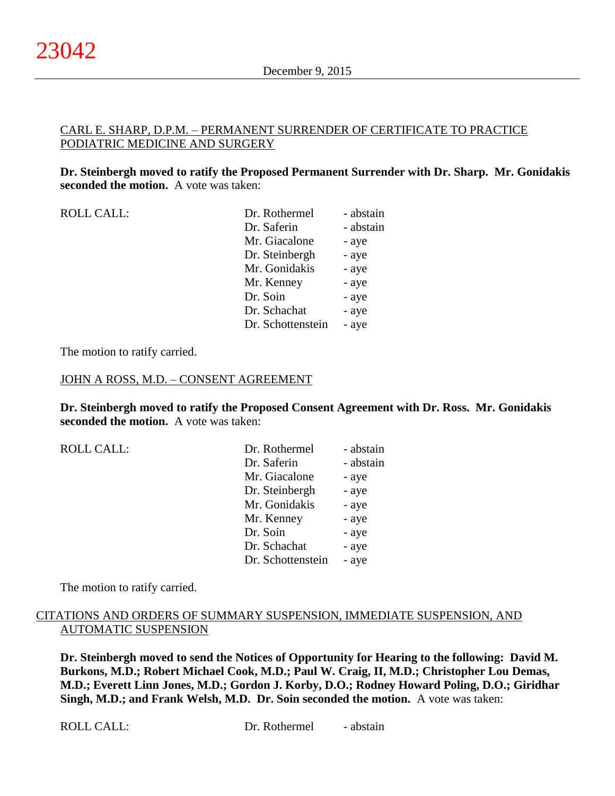# CARL E. SHARP, D.P.M. – PERMANENT SURRENDER OF CERTIFICATE TO PRACTICE PODIATRIC MEDICINE AND SURGERY

**Dr. Steinbergh moved to ratify the Proposed Permanent Surrender with Dr. Sharp. Mr. Gonidakis seconded the motion.** A vote was taken:

ROLL CALL: Dr. Rothermel - abstain Dr. Saferin - abstain Mr. Giacalone - aye Dr. Steinbergh - aye Mr. Gonidakis - aye Mr. Kenney - aye Dr. Soin - aye Dr. Schachat - aye Dr. Schottenstein - aye

The motion to ratify carried.

#### JOHN A ROSS, M.D. – CONSENT AGREEMENT

**Dr. Steinbergh moved to ratify the Proposed Consent Agreement with Dr. Ross. Mr. Gonidakis seconded the motion.** A vote was taken:

| <b>ROLL CALL:</b> | Dr. Rothermel     | - abstain |
|-------------------|-------------------|-----------|
|                   | Dr. Saferin       | - abstain |
|                   | Mr. Giacalone     | - aye     |
|                   | Dr. Steinbergh    | - aye     |
|                   | Mr. Gonidakis     | - aye     |
|                   | Mr. Kenney        | - aye     |
|                   | Dr. Soin          | - aye     |
|                   | Dr. Schachat      | - aye     |
|                   | Dr. Schottenstein | - aye     |

The motion to ratify carried.

# CITATIONS AND ORDERS OF SUMMARY SUSPENSION, IMMEDIATE SUSPENSION, AND AUTOMATIC SUSPENSION

**Dr. Steinbergh moved to send the Notices of Opportunity for Hearing to the following: David M. Burkons, M.D.; Robert Michael Cook, M.D.; Paul W. Craig, II, M.D.; Christopher Lou Demas, M.D.; Everett Linn Jones, M.D.; Gordon J. Korby, D.O.; Rodney Howard Poling, D.O.; Giridhar Singh, M.D.; and Frank Welsh, M.D. Dr. Soin seconded the motion.** A vote was taken: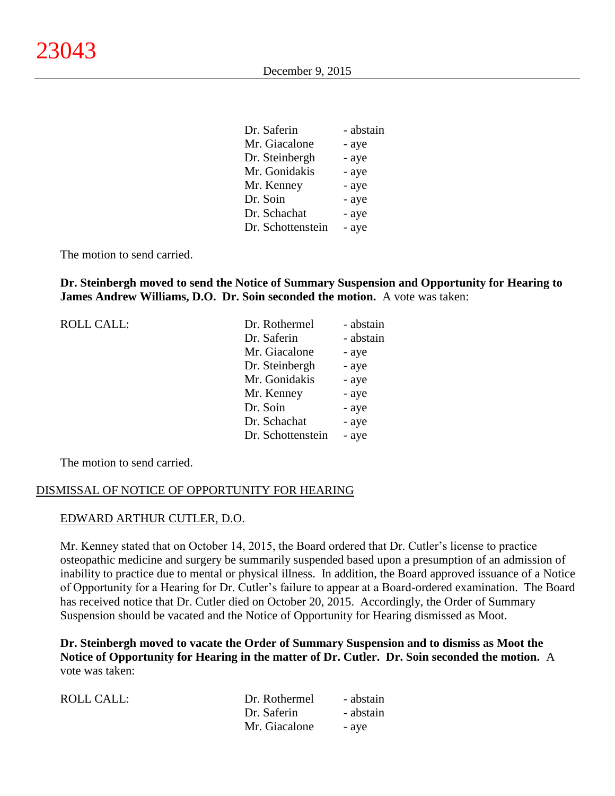| Dr. Saferin       | - abstain |
|-------------------|-----------|
| Mr. Giacalone     | - aye     |
| Dr. Steinbergh    | - aye     |
| Mr. Gonidakis     | - aye     |
| Mr. Kenney        | - aye     |
| Dr. Soin          | - aye     |
| Dr. Schachat      | - aye     |
| Dr. Schottenstein | - aye     |

The motion to send carried.

**Dr. Steinbergh moved to send the Notice of Summary Suspension and Opportunity for Hearing to James Andrew Williams, D.O. Dr. Soin seconded the motion.** A vote was taken:

| <b>ROLL CALL:</b> | Dr. Rothermel     | - abstain |
|-------------------|-------------------|-----------|
|                   | Dr. Saferin       | - abstain |
|                   | Mr. Giacalone     | - aye     |
|                   | Dr. Steinbergh    | - aye     |
|                   | Mr. Gonidakis     | - aye     |
|                   | Mr. Kenney        | - aye     |
|                   | Dr. Soin          | - aye     |
|                   | Dr. Schachat      | - aye     |
|                   | Dr. Schottenstein | - aye     |

The motion to send carried.

#### DISMISSAL OF NOTICE OF OPPORTUNITY FOR HEARING

#### EDWARD ARTHUR CUTLER, D.O.

Mr. Kenney stated that on October 14, 2015, the Board ordered that Dr. Cutler's license to practice osteopathic medicine and surgery be summarily suspended based upon a presumption of an admission of inability to practice due to mental or physical illness. In addition, the Board approved issuance of a Notice of Opportunity for a Hearing for Dr. Cutler's failure to appear at a Board-ordered examination. The Board has received notice that Dr. Cutler died on October 20, 2015. Accordingly, the Order of Summary Suspension should be vacated and the Notice of Opportunity for Hearing dismissed as Moot.

**Dr. Steinbergh moved to vacate the Order of Summary Suspension and to dismiss as Moot the Notice of Opportunity for Hearing in the matter of Dr. Cutler. Dr. Soin seconded the motion.** A vote was taken:

| ROLL CALL: | Dr. Rothermel | - abstain |
|------------|---------------|-----------|
|            | Dr. Saferin   | - abstain |
|            | Mr. Giacalone | - ave     |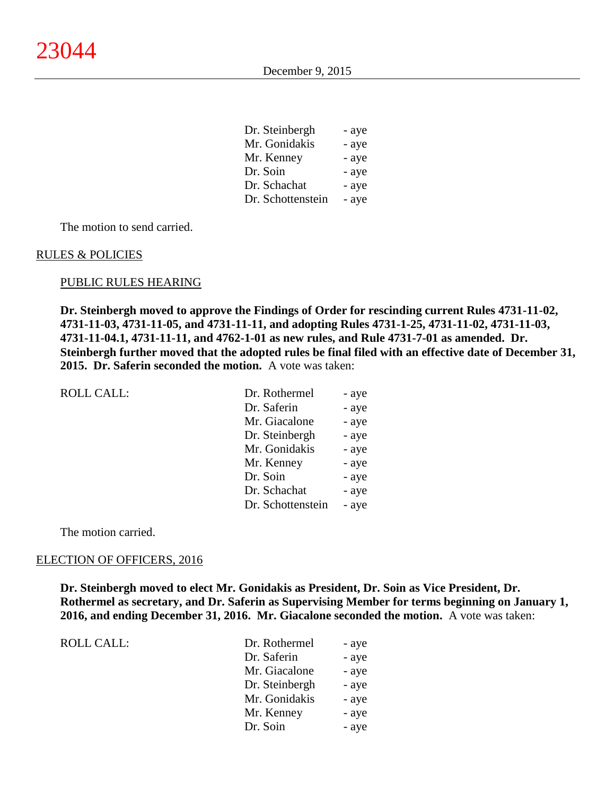| Dr. Steinbergh    | - aye |
|-------------------|-------|
| Mr. Gonidakis     | - aye |
| Mr. Kenney        | - aye |
| Dr. Soin          | - aye |
| Dr. Schachat      | - aye |
| Dr. Schottenstein | - aye |

The motion to send carried.

#### RULES & POLICIES

#### PUBLIC RULES HEARING

**Dr. Steinbergh moved to approve the Findings of Order for rescinding current Rules 4731-11-02, 4731-11-03, 4731-11-05, and 4731-11-11, and adopting Rules 4731-1-25, 4731-11-02, 4731-11-03, 4731-11-04.1, 4731-11-11, and 4762-1-01 as new rules, and Rule 4731-7-01 as amended. Dr. Steinbergh further moved that the adopted rules be final filed with an effective date of December 31, 2015. Dr. Saferin seconded the motion.** A vote was taken:

| <b>ROLL CALL:</b> | Dr. Rothermel     | - aye |
|-------------------|-------------------|-------|
|                   | Dr. Saferin       | - aye |
|                   | Mr. Giacalone     | - aye |
|                   | Dr. Steinbergh    | - aye |
|                   | Mr. Gonidakis     | - aye |
|                   | Mr. Kenney        | - aye |
|                   | Dr. Soin          | - aye |
|                   | Dr. Schachat      | - aye |
|                   | Dr. Schottenstein | - aye |

The motion carried.

#### ELECTION OF OFFICERS, 2016

**Dr. Steinbergh moved to elect Mr. Gonidakis as President, Dr. Soin as Vice President, Dr. Rothermel as secretary, and Dr. Saferin as Supervising Member for terms beginning on January 1, 2016, and ending December 31, 2016. Mr. Giacalone seconded the motion.** A vote was taken:

| <b>ROLL CALL:</b> |  |
|-------------------|--|
|                   |  |
|                   |  |

| Dr. Rothermel  | - aye |
|----------------|-------|
| Dr. Saferin    | - aye |
| Mr. Giacalone  | - aye |
| Dr. Steinbergh | - aye |
| Mr. Gonidakis  | - aye |
| Mr. Kenney     | - aye |
| Dr. Soin       | - aye |
|                |       |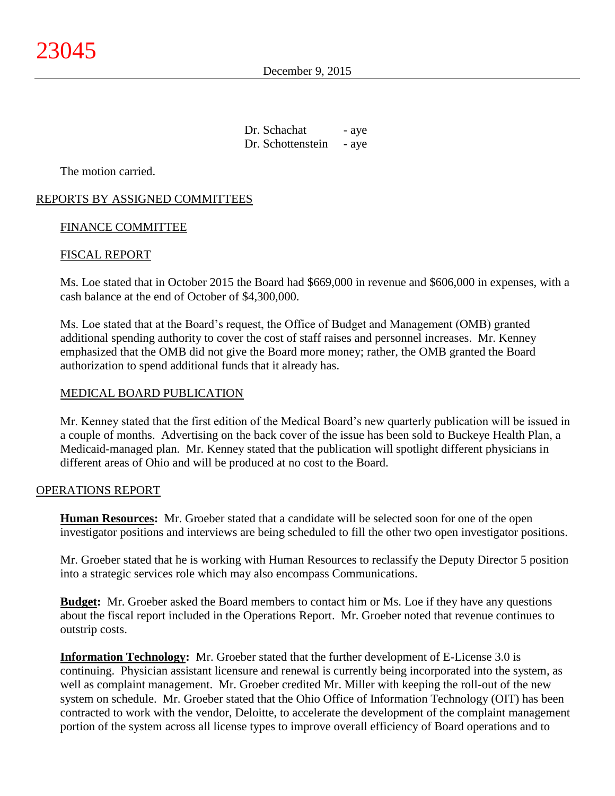December 9, 2015

Dr. Schachat - aye Dr. Schottenstein - aye

The motion carried.

# REPORTS BY ASSIGNED COMMITTEES

# FINANCE COMMITTEE

# FISCAL REPORT

Ms. Loe stated that in October 2015 the Board had \$669,000 in revenue and \$606,000 in expenses, with a cash balance at the end of October of \$4,300,000.

Ms. Loe stated that at the Board's request, the Office of Budget and Management (OMB) granted additional spending authority to cover the cost of staff raises and personnel increases. Mr. Kenney emphasized that the OMB did not give the Board more money; rather, the OMB granted the Board authorization to spend additional funds that it already has.

# MEDICAL BOARD PUBLICATION

Mr. Kenney stated that the first edition of the Medical Board's new quarterly publication will be issued in a couple of months. Advertising on the back cover of the issue has been sold to Buckeye Health Plan, a Medicaid-managed plan. Mr. Kenney stated that the publication will spotlight different physicians in different areas of Ohio and will be produced at no cost to the Board.

# OPERATIONS REPORT

**Human Resources:** Mr. Groeber stated that a candidate will be selected soon for one of the open investigator positions and interviews are being scheduled to fill the other two open investigator positions.

Mr. Groeber stated that he is working with Human Resources to reclassify the Deputy Director 5 position into a strategic services role which may also encompass Communications.

**Budget:** Mr. Groeber asked the Board members to contact him or Ms. Loe if they have any questions about the fiscal report included in the Operations Report. Mr. Groeber noted that revenue continues to outstrip costs.

**Information Technology:** Mr. Groeber stated that the further development of E-License 3.0 is continuing. Physician assistant licensure and renewal is currently being incorporated into the system, as well as complaint management. Mr. Groeber credited Mr. Miller with keeping the roll-out of the new system on schedule. Mr. Groeber stated that the Ohio Office of Information Technology (OIT) has been contracted to work with the vendor, Deloitte, to accelerate the development of the complaint management portion of the system across all license types to improve overall efficiency of Board operations and to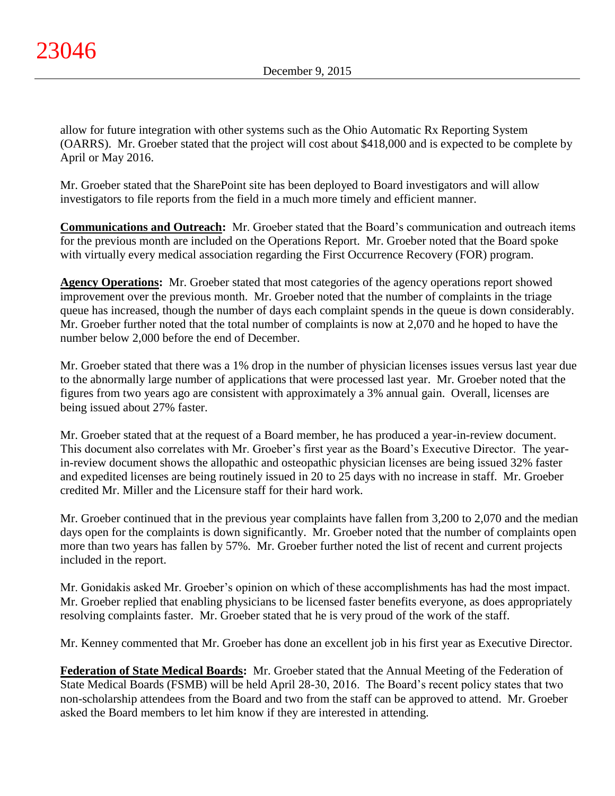allow for future integration with other systems such as the Ohio Automatic Rx Reporting System (OARRS). Mr. Groeber stated that the project will cost about \$418,000 and is expected to be complete by April or May 2016.

Mr. Groeber stated that the SharePoint site has been deployed to Board investigators and will allow investigators to file reports from the field in a much more timely and efficient manner.

**Communications and Outreach:** Mr. Groeber stated that the Board's communication and outreach items for the previous month are included on the Operations Report. Mr. Groeber noted that the Board spoke with virtually every medical association regarding the First Occurrence Recovery (FOR) program.

**Agency Operations:** Mr. Groeber stated that most categories of the agency operations report showed improvement over the previous month. Mr. Groeber noted that the number of complaints in the triage queue has increased, though the number of days each complaint spends in the queue is down considerably. Mr. Groeber further noted that the total number of complaints is now at 2,070 and he hoped to have the number below 2,000 before the end of December.

Mr. Groeber stated that there was a 1% drop in the number of physician licenses issues versus last year due to the abnormally large number of applications that were processed last year. Mr. Groeber noted that the figures from two years ago are consistent with approximately a 3% annual gain. Overall, licenses are being issued about 27% faster.

Mr. Groeber stated that at the request of a Board member, he has produced a year-in-review document. This document also correlates with Mr. Groeber's first year as the Board's Executive Director. The yearin-review document shows the allopathic and osteopathic physician licenses are being issued 32% faster and expedited licenses are being routinely issued in 20 to 25 days with no increase in staff. Mr. Groeber credited Mr. Miller and the Licensure staff for their hard work.

Mr. Groeber continued that in the previous year complaints have fallen from 3,200 to 2,070 and the median days open for the complaints is down significantly. Mr. Groeber noted that the number of complaints open more than two years has fallen by 57%. Mr. Groeber further noted the list of recent and current projects included in the report.

Mr. Gonidakis asked Mr. Groeber's opinion on which of these accomplishments has had the most impact. Mr. Groeber replied that enabling physicians to be licensed faster benefits everyone, as does appropriately resolving complaints faster. Mr. Groeber stated that he is very proud of the work of the staff.

Mr. Kenney commented that Mr. Groeber has done an excellent job in his first year as Executive Director.

**Federation of State Medical Boards:** Mr. Groeber stated that the Annual Meeting of the Federation of State Medical Boards (FSMB) will be held April 28-30, 2016. The Board's recent policy states that two non-scholarship attendees from the Board and two from the staff can be approved to attend. Mr. Groeber asked the Board members to let him know if they are interested in attending.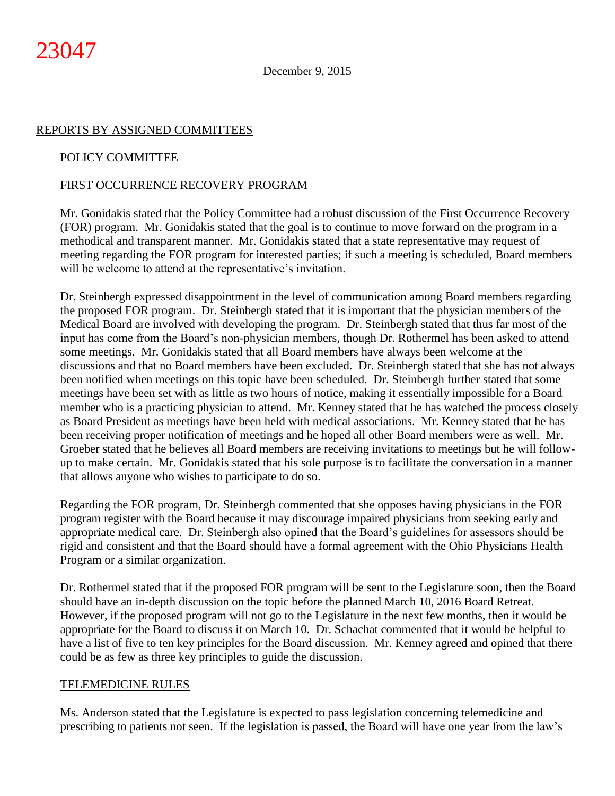# REPORTS BY ASSIGNED COMMITTEES

# POLICY COMMITTEE

# FIRST OCCURRENCE RECOVERY PROGRAM

Mr. Gonidakis stated that the Policy Committee had a robust discussion of the First Occurrence Recovery (FOR) program. Mr. Gonidakis stated that the goal is to continue to move forward on the program in a methodical and transparent manner. Mr. Gonidakis stated that a state representative may request of meeting regarding the FOR program for interested parties; if such a meeting is scheduled, Board members will be welcome to attend at the representative's invitation.

Dr. Steinbergh expressed disappointment in the level of communication among Board members regarding the proposed FOR program. Dr. Steinbergh stated that it is important that the physician members of the Medical Board are involved with developing the program. Dr. Steinbergh stated that thus far most of the input has come from the Board's non-physician members, though Dr. Rothermel has been asked to attend some meetings. Mr. Gonidakis stated that all Board members have always been welcome at the discussions and that no Board members have been excluded. Dr. Steinbergh stated that she has not always been notified when meetings on this topic have been scheduled. Dr. Steinbergh further stated that some meetings have been set with as little as two hours of notice, making it essentially impossible for a Board member who is a practicing physician to attend. Mr. Kenney stated that he has watched the process closely as Board President as meetings have been held with medical associations. Mr. Kenney stated that he has been receiving proper notification of meetings and he hoped all other Board members were as well. Mr. Groeber stated that he believes all Board members are receiving invitations to meetings but he will followup to make certain. Mr. Gonidakis stated that his sole purpose is to facilitate the conversation in a manner that allows anyone who wishes to participate to do so.

Regarding the FOR program, Dr. Steinbergh commented that she opposes having physicians in the FOR program register with the Board because it may discourage impaired physicians from seeking early and appropriate medical care. Dr. Steinbergh also opined that the Board's guidelines for assessors should be rigid and consistent and that the Board should have a formal agreement with the Ohio Physicians Health Program or a similar organization.

Dr. Rothermel stated that if the proposed FOR program will be sent to the Legislature soon, then the Board should have an in-depth discussion on the topic before the planned March 10, 2016 Board Retreat. However, if the proposed program will not go to the Legislature in the next few months, then it would be appropriate for the Board to discuss it on March 10. Dr. Schachat commented that it would be helpful to have a list of five to ten key principles for the Board discussion. Mr. Kenney agreed and opined that there could be as few as three key principles to guide the discussion.

# TELEMEDICINE RULES

Ms. Anderson stated that the Legislature is expected to pass legislation concerning telemedicine and prescribing to patients not seen. If the legislation is passed, the Board will have one year from the law's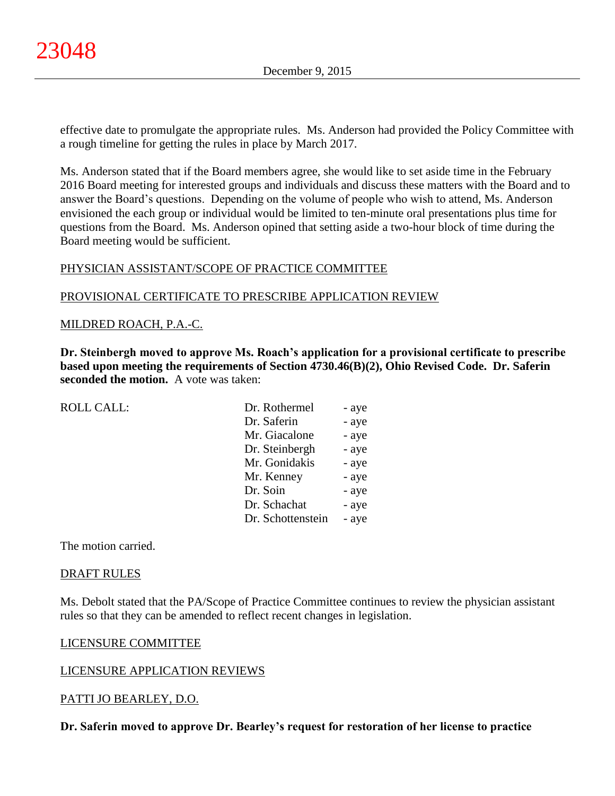effective date to promulgate the appropriate rules. Ms. Anderson had provided the Policy Committee with a rough timeline for getting the rules in place by March 2017.

Ms. Anderson stated that if the Board members agree, she would like to set aside time in the February 2016 Board meeting for interested groups and individuals and discuss these matters with the Board and to answer the Board's questions. Depending on the volume of people who wish to attend, Ms. Anderson envisioned the each group or individual would be limited to ten-minute oral presentations plus time for questions from the Board. Ms. Anderson opined that setting aside a two-hour block of time during the Board meeting would be sufficient.

# PHYSICIAN ASSISTANT/SCOPE OF PRACTICE COMMITTEE

# PROVISIONAL CERTIFICATE TO PRESCRIBE APPLICATION REVIEW

# MILDRED ROACH, P.A.-C.

**Dr. Steinbergh moved to approve Ms. Roach's application for a provisional certificate to prescribe based upon meeting the requirements of Section 4730.46(B)(2), Ohio Revised Code. Dr. Saferin seconded the motion.** A vote was taken:

| <b>ROLL CALL:</b> | Dr. Rothermel     | - aye |
|-------------------|-------------------|-------|
|                   | Dr. Saferin       | - aye |
|                   | Mr. Giacalone     | - aye |
|                   | Dr. Steinbergh    | - aye |
|                   | Mr. Gonidakis     | - aye |
|                   | Mr. Kenney        | - aye |
|                   | Dr. Soin          | - aye |
|                   | Dr. Schachat      | - aye |
|                   | Dr. Schottenstein | - aye |
|                   |                   |       |

The motion carried.

#### DRAFT RULES

Ms. Debolt stated that the PA/Scope of Practice Committee continues to review the physician assistant rules so that they can be amended to reflect recent changes in legislation.

# LICENSURE COMMITTEE

# LICENSURE APPLICATION REVIEWS

# PATTI JO BEARLEY, D.O.

**Dr. Saferin moved to approve Dr. Bearley's request for restoration of her license to practice**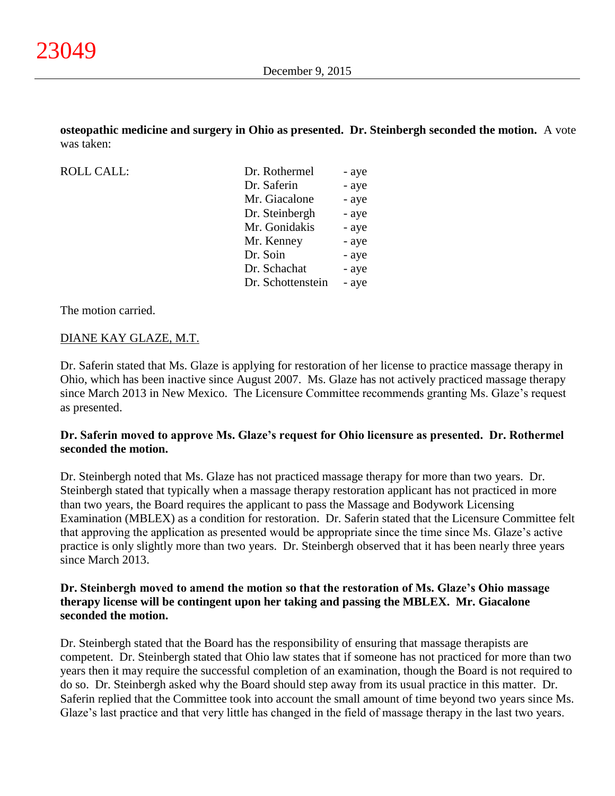**osteopathic medicine and surgery in Ohio as presented. Dr. Steinbergh seconded the motion.** A vote was taken:

| <b>ROLL CALL:</b> |  |
|-------------------|--|
|-------------------|--|

| <b>ROLL CALL:</b> | Dr. Rothermel     | - aye |
|-------------------|-------------------|-------|
|                   | Dr. Saferin       | - aye |
|                   | Mr. Giacalone     | - aye |
|                   | Dr. Steinbergh    | - aye |
|                   | Mr. Gonidakis     | - aye |
|                   | Mr. Kenney        | - aye |
|                   | Dr. Soin          | - aye |
|                   | Dr. Schachat      | - aye |
|                   | Dr. Schottenstein | - aye |
|                   |                   |       |

The motion carried.

# DIANE KAY GLAZE, M.T.

Dr. Saferin stated that Ms. Glaze is applying for restoration of her license to practice massage therapy in Ohio, which has been inactive since August 2007. Ms. Glaze has not actively practiced massage therapy since March 2013 in New Mexico. The Licensure Committee recommends granting Ms. Glaze's request as presented.

# **Dr. Saferin moved to approve Ms. Glaze's request for Ohio licensure as presented. Dr. Rothermel seconded the motion.**

Dr. Steinbergh noted that Ms. Glaze has not practiced massage therapy for more than two years. Dr. Steinbergh stated that typically when a massage therapy restoration applicant has not practiced in more than two years, the Board requires the applicant to pass the Massage and Bodywork Licensing Examination (MBLEX) as a condition for restoration. Dr. Saferin stated that the Licensure Committee felt that approving the application as presented would be appropriate since the time since Ms. Glaze's active practice is only slightly more than two years. Dr. Steinbergh observed that it has been nearly three years since March 2013.

# **Dr. Steinbergh moved to amend the motion so that the restoration of Ms. Glaze's Ohio massage therapy license will be contingent upon her taking and passing the MBLEX. Mr. Giacalone seconded the motion.**

Dr. Steinbergh stated that the Board has the responsibility of ensuring that massage therapists are competent. Dr. Steinbergh stated that Ohio law states that if someone has not practiced for more than two years then it may require the successful completion of an examination, though the Board is not required to do so. Dr. Steinbergh asked why the Board should step away from its usual practice in this matter. Dr. Saferin replied that the Committee took into account the small amount of time beyond two years since Ms. Glaze's last practice and that very little has changed in the field of massage therapy in the last two years.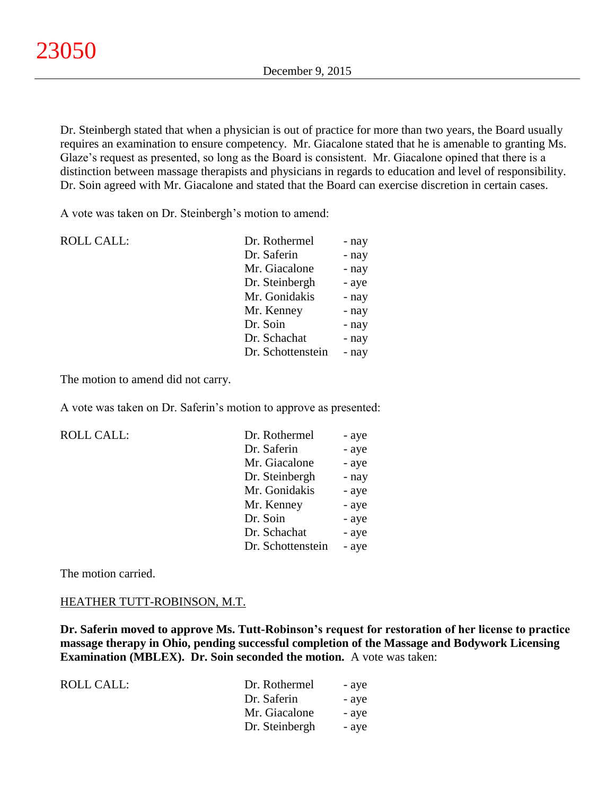Dr. Steinbergh stated that when a physician is out of practice for more than two years, the Board usually requires an examination to ensure competency. Mr. Giacalone stated that he is amenable to granting Ms. Glaze's request as presented, so long as the Board is consistent. Mr. Giacalone opined that there is a distinction between massage therapists and physicians in regards to education and level of responsibility. Dr. Soin agreed with Mr. Giacalone and stated that the Board can exercise discretion in certain cases.

A vote was taken on Dr. Steinbergh's motion to amend:

| <b>ROLL CALL:</b> | Dr. Rothermel     | - nay |
|-------------------|-------------------|-------|
|                   | Dr. Saferin       | - nay |
|                   | Mr. Giacalone     | - nay |
|                   | Dr. Steinbergh    | - aye |
|                   | Mr. Gonidakis     | - nay |
|                   | Mr. Kenney        | - nay |
|                   | Dr. Soin          | - nay |
|                   | Dr. Schachat      | - nay |
|                   | Dr. Schottenstein | - nay |
|                   |                   |       |

The motion to amend did not carry.

A vote was taken on Dr. Saferin's motion to approve as presented:

ROLL CALL:

| - aye |
|-------|
| - aye |
| - aye |
| - nay |
| - aye |
| - aye |
| - aye |
| - aye |
| - aye |
|       |

The motion carried.

# HEATHER TUTT-ROBINSON, M.T.

**Dr. Saferin moved to approve Ms. Tutt-Robinson's request for restoration of her license to practice massage therapy in Ohio, pending successful completion of the Massage and Bodywork Licensing Examination (MBLEX). Dr. Soin seconded the motion.** A vote was taken:

| ROLL CALL: | Dr. Rothermel<br>- aye  |  |
|------------|-------------------------|--|
|            | Dr. Saferin<br>- ave    |  |
|            | Mr. Giacalone<br>- ave  |  |
|            | Dr. Steinbergh<br>- ave |  |
|            |                         |  |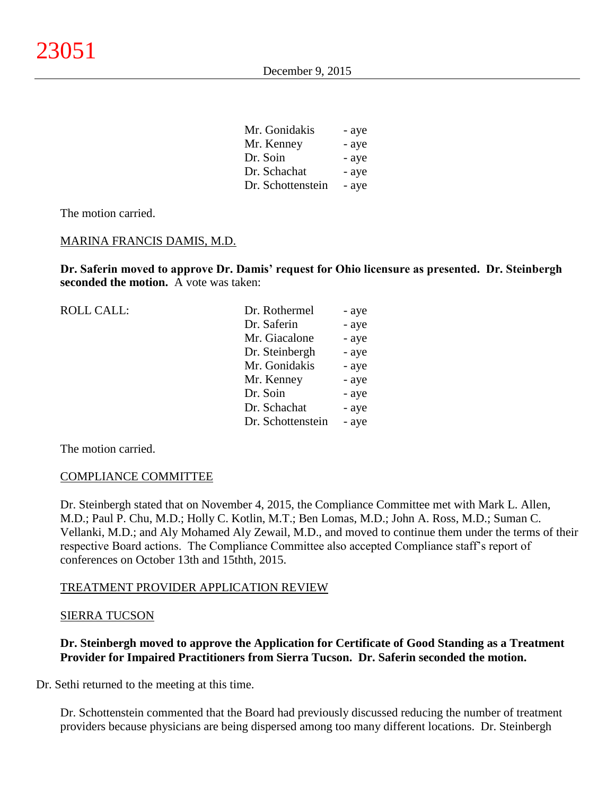| Mr. Gonidakis     | - ave |
|-------------------|-------|
| Mr. Kenney        | - aye |
| Dr. Soin          | - aye |
| Dr. Schachat      | - aye |
| Dr. Schottenstein | - aye |

Mr. Gonidakis - aye

The motion carried.

### MARINA FRANCIS DAMIS, M.D.

**Dr. Saferin moved to approve Dr. Damis' request for Ohio licensure as presented. Dr. Steinbergh seconded the motion.** A vote was taken:

| <b>ROLL CALL:</b> | Dr. Rothermel     | - aye |
|-------------------|-------------------|-------|
|                   | Dr. Saferin       | - aye |
|                   | Mr. Giacalone     | - aye |
|                   | Dr. Steinbergh    | - aye |
|                   | Mr. Gonidakis     | - aye |
|                   | Mr. Kenney        | - aye |
|                   | Dr. Soin          | - aye |
|                   | Dr. Schachat      | - aye |
|                   | Dr. Schottenstein | - aye |
|                   |                   |       |

The motion carried.

#### COMPLIANCE COMMITTEE

Dr. Steinbergh stated that on November 4, 2015, the Compliance Committee met with Mark L. Allen, M.D.; Paul P. Chu, M.D.; Holly C. Kotlin, M.T.; Ben Lomas, M.D.; John A. Ross, M.D.; Suman C. Vellanki, M.D.; and Aly Mohamed Aly Zewail, M.D., and moved to continue them under the terms of their respective Board actions. The Compliance Committee also accepted Compliance staff's report of conferences on October 13th and 15thth, 2015.

# TREATMENT PROVIDER APPLICATION REVIEW

### SIERRA TUCSON

# **Dr. Steinbergh moved to approve the Application for Certificate of Good Standing as a Treatment Provider for Impaired Practitioners from Sierra Tucson. Dr. Saferin seconded the motion.**

Dr. Sethi returned to the meeting at this time.

Dr. Schottenstein commented that the Board had previously discussed reducing the number of treatment providers because physicians are being dispersed among too many different locations. Dr. Steinbergh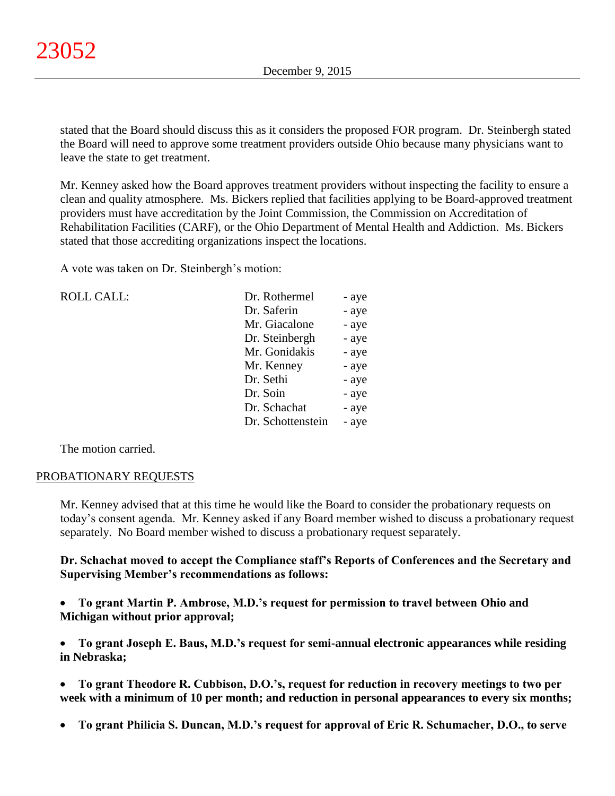stated that the Board should discuss this as it considers the proposed FOR program. Dr. Steinbergh stated the Board will need to approve some treatment providers outside Ohio because many physicians want to leave the state to get treatment.

Mr. Kenney asked how the Board approves treatment providers without inspecting the facility to ensure a clean and quality atmosphere. Ms. Bickers replied that facilities applying to be Board-approved treatment providers must have accreditation by the Joint Commission, the Commission on Accreditation of Rehabilitation Facilities (CARF), or the Ohio Department of Mental Health and Addiction. Ms. Bickers stated that those accrediting organizations inspect the locations.

A vote was taken on Dr. Steinbergh's motion:

| <b>ROLL CALL:</b> | Dr. Rothermel     | - aye |
|-------------------|-------------------|-------|
|                   | Dr. Saferin       | - aye |
|                   | Mr. Giacalone     | - aye |
|                   | Dr. Steinbergh    | - aye |
|                   | Mr. Gonidakis     | - aye |
|                   | Mr. Kenney        | - aye |
|                   | Dr. Sethi         | - aye |
|                   | Dr. Soin          | - aye |
|                   | Dr. Schachat      | - aye |
|                   | Dr. Schottenstein | - aye |
|                   |                   |       |

The motion carried.

#### PROBATIONARY REQUESTS

Mr. Kenney advised that at this time he would like the Board to consider the probationary requests on today's consent agenda. Mr. Kenney asked if any Board member wished to discuss a probationary request separately. No Board member wished to discuss a probationary request separately.

**Dr. Schachat moved to accept the Compliance staff's Reports of Conferences and the Secretary and Supervising Member's recommendations as follows:**

 **To grant Martin P. Ambrose, M.D.'s request for permission to travel between Ohio and Michigan without prior approval;**

 **To grant Joseph E. Baus, M.D.'s request for semi-annual electronic appearances while residing in Nebraska;**

- **To grant Theodore R. Cubbison, D.O.'s, request for reduction in recovery meetings to two per week with a minimum of 10 per month; and reduction in personal appearances to every six months;**
- **To grant Philicia S. Duncan, M.D.'s request for approval of Eric R. Schumacher, D.O., to serve**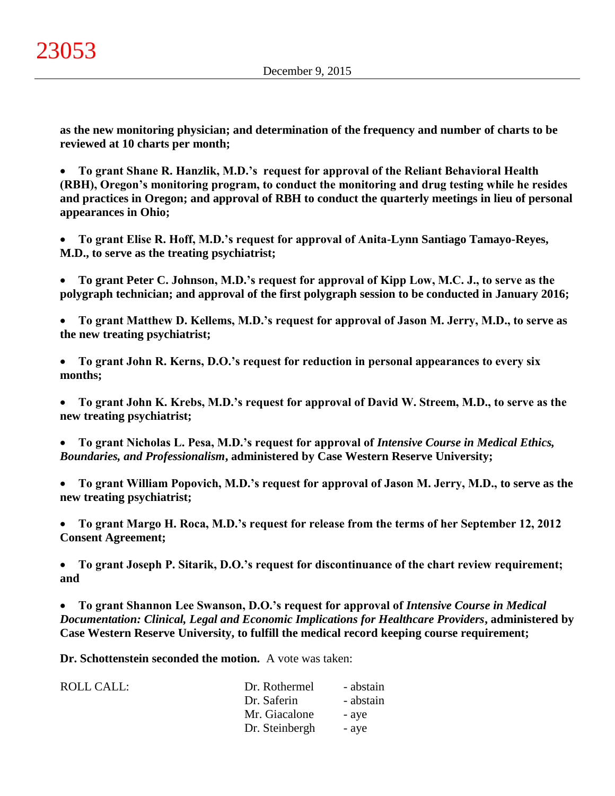**as the new monitoring physician; and determination of the frequency and number of charts to be reviewed at 10 charts per month;**

 **To grant Shane R. Hanzlik, M.D.'s request for approval of the Reliant Behavioral Health (RBH), Oregon's monitoring program, to conduct the monitoring and drug testing while he resides and practices in Oregon; and approval of RBH to conduct the quarterly meetings in lieu of personal appearances in Ohio;**

 **To grant Elise R. Hoff, M.D.'s request for approval of Anita-Lynn Santiago Tamayo-Reyes, M.D., to serve as the treating psychiatrist;**

 **To grant Peter C. Johnson, M.D.'s request for approval of Kipp Low, M.C. J., to serve as the polygraph technician; and approval of the first polygraph session to be conducted in January 2016;**

 **To grant Matthew D. Kellems, M.D.'s request for approval of Jason M. Jerry, M.D., to serve as the new treating psychiatrist;**

 **To grant John R. Kerns, D.O.'s request for reduction in personal appearances to every six months;**

 **To grant John K. Krebs, M.D.'s request for approval of David W. Streem, M.D., to serve as the new treating psychiatrist;**

- **To grant Nicholas L. Pesa, M.D.'s request for approval of** *Intensive Course in Medical Ethics, Boundaries, and Professionalism***, administered by Case Western Reserve University;**
- **To grant William Popovich, M.D.'s request for approval of Jason M. Jerry, M.D., to serve as the new treating psychiatrist;**

 **To grant Margo H. Roca, M.D.'s request for release from the terms of her September 12, 2012 Consent Agreement;**

 **To grant Joseph P. Sitarik, D.O.'s request for discontinuance of the chart review requirement; and**

 **To grant Shannon Lee Swanson, D.O.'s request for approval of** *Intensive Course in Medical Documentation: Clinical, Legal and Economic Implications for Healthcare Providers***, administered by Case Western Reserve University, to fulfill the medical record keeping course requirement;**

**Dr. Schottenstein seconded the motion.** A vote was taken:

| ROLL CALL: | Dr. Rothermel  | - abstain |
|------------|----------------|-----------|
|            | Dr. Saferin    | - abstain |
|            | Mr. Giacalone  | - aye     |
|            | Dr. Steinbergh | - aye     |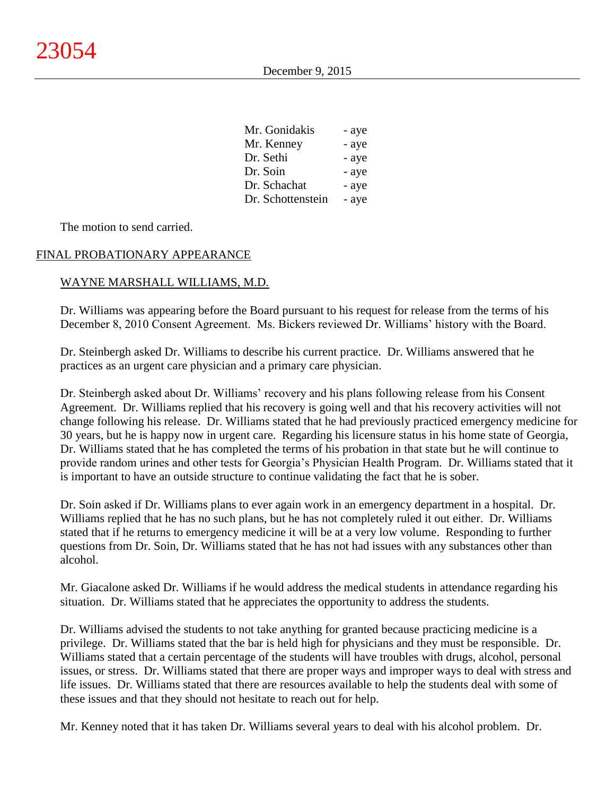| Mr. Gonidakis     | - aye |
|-------------------|-------|
| Mr. Kenney        | - aye |
| Dr. Sethi         | - aye |
| Dr. Soin          | - aye |
| Dr. Schachat      | - aye |
| Dr. Schottenstein | - aye |

The motion to send carried.

# FINAL PROBATIONARY APPEARANCE

### WAYNE MARSHALL WILLIAMS, M.D.

Dr. Williams was appearing before the Board pursuant to his request for release from the terms of his December 8, 2010 Consent Agreement. Ms. Bickers reviewed Dr. Williams' history with the Board.

Dr. Steinbergh asked Dr. Williams to describe his current practice. Dr. Williams answered that he practices as an urgent care physician and a primary care physician.

Dr. Steinbergh asked about Dr. Williams' recovery and his plans following release from his Consent Agreement. Dr. Williams replied that his recovery is going well and that his recovery activities will not change following his release. Dr. Williams stated that he had previously practiced emergency medicine for 30 years, but he is happy now in urgent care. Regarding his licensure status in his home state of Georgia, Dr. Williams stated that he has completed the terms of his probation in that state but he will continue to provide random urines and other tests for Georgia's Physician Health Program. Dr. Williams stated that it is important to have an outside structure to continue validating the fact that he is sober.

Dr. Soin asked if Dr. Williams plans to ever again work in an emergency department in a hospital. Dr. Williams replied that he has no such plans, but he has not completely ruled it out either. Dr. Williams stated that if he returns to emergency medicine it will be at a very low volume. Responding to further questions from Dr. Soin, Dr. Williams stated that he has not had issues with any substances other than alcohol.

Mr. Giacalone asked Dr. Williams if he would address the medical students in attendance regarding his situation. Dr. Williams stated that he appreciates the opportunity to address the students.

Dr. Williams advised the students to not take anything for granted because practicing medicine is a privilege. Dr. Williams stated that the bar is held high for physicians and they must be responsible. Dr. Williams stated that a certain percentage of the students will have troubles with drugs, alcohol, personal issues, or stress. Dr. Williams stated that there are proper ways and improper ways to deal with stress and life issues. Dr. Williams stated that there are resources available to help the students deal with some of these issues and that they should not hesitate to reach out for help.

Mr. Kenney noted that it has taken Dr. Williams several years to deal with his alcohol problem. Dr.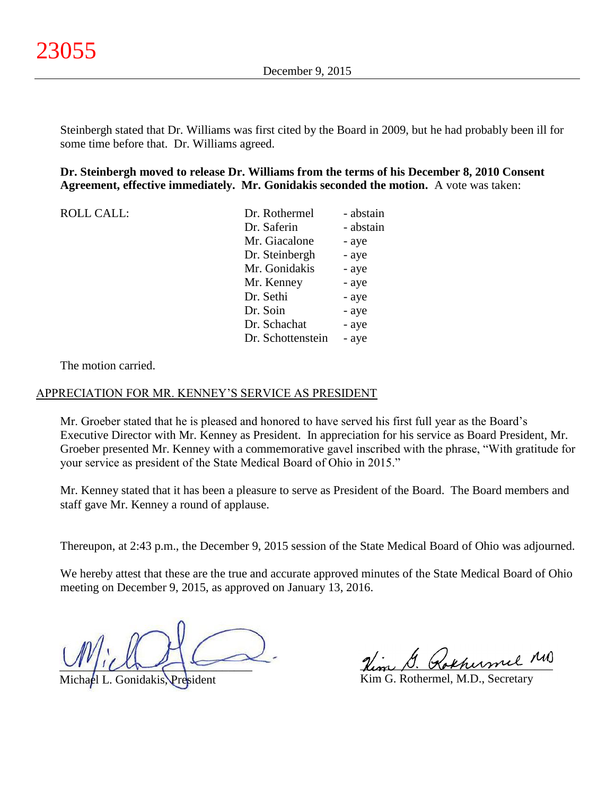Steinbergh stated that Dr. Williams was first cited by the Board in 2009, but he had probably been ill for some time before that. Dr. Williams agreed.

### **Dr. Steinbergh moved to release Dr. Williams from the terms of his December 8, 2010 Consent Agreement, effective immediately. Mr. Gonidakis seconded the motion.** A vote was taken:

| <b>ROLL CALL:</b> | Dr. Rothermel     | - abstain |
|-------------------|-------------------|-----------|
|                   | Dr. Saferin       | - abstain |
|                   | Mr. Giacalone     | - aye     |
|                   | Dr. Steinbergh    | - aye     |
|                   | Mr. Gonidakis     | - aye     |
|                   | Mr. Kenney        | - aye     |
|                   | Dr. Sethi         | - aye     |
|                   | Dr. Soin          | - aye     |
|                   | Dr. Schachat      | - aye     |
|                   | Dr. Schottenstein | - aye     |

The motion carried.

#### APPRECIATION FOR MR. KENNEY'S SERVICE AS PRESIDENT

Mr. Groeber stated that he is pleased and honored to have served his first full year as the Board's Executive Director with Mr. Kenney as President. In appreciation for his service as Board President, Mr. Groeber presented Mr. Kenney with a commemorative gavel inscribed with the phrase, "With gratitude for your service as president of the State Medical Board of Ohio in 2015."

Mr. Kenney stated that it has been a pleasure to serve as President of the Board. The Board members and staff gave Mr. Kenney a round of applause.

Thereupon, at 2:43 p.m., the December 9, 2015 session of the State Medical Board of Ohio was adjourned.

We hereby attest that these are the true and accurate approved minutes of the State Medical Board of Ohio meeting on December 9, 2015, as approved on January 13, 2016.

 $U^{\prime}$ 

Michael L. Gonidakis, President

Kokhumil M

Kim G. Rothermel, M.D., Secretary